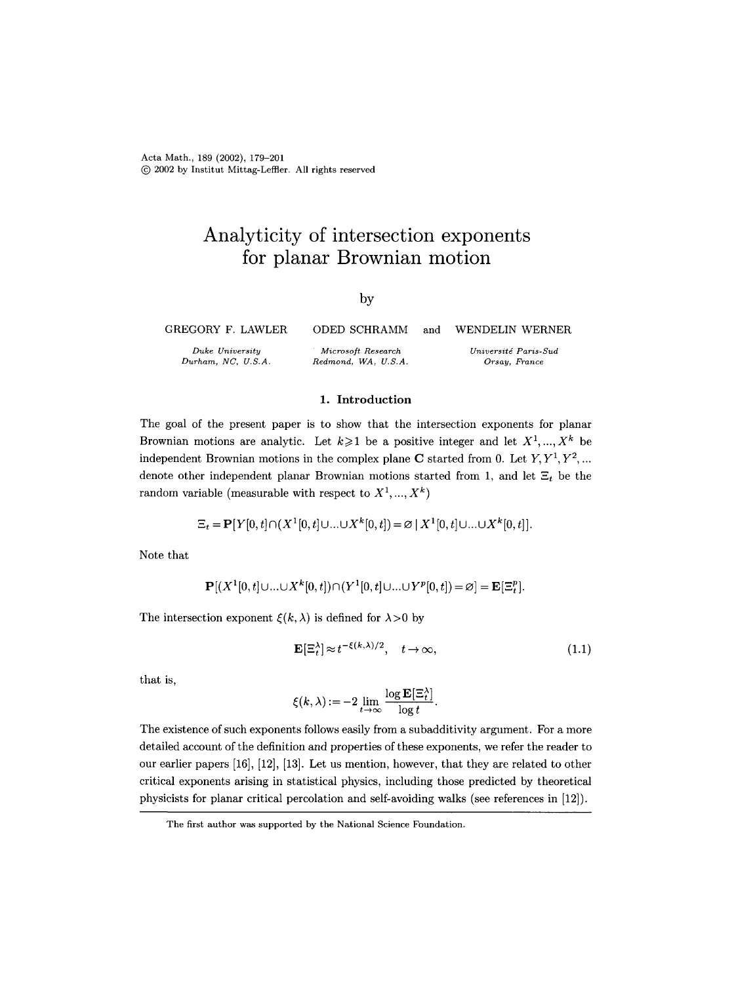Acta Math., 189 (2002), 179-201 (~) 2002 by Institut Mittag-Leffier. All rights reserved

# **Analyticity of intersection exponents for planar Brownian motion**

## by

GREGORY F. LAWLER ODED SCHRAMM

*Duke University Durham, NC, U.S.A.*  and WENDELIN WERNER *Universitd Paris-Sud* 

*Orsay, France* 

#### 1. Introduction

*Microsoft Research Redmond, WA, U.S.A.* 

The goal of the present paper is to show that the intersection exponents for planar Brownian motions are analytic. Let  $k \geqslant 1$  be a positive integer and let  $X^1, ..., X^k$  be independent Brownian motions in the complex plane C started from 0. Let  $Y, Y^1, Y^2, ...$ denote other independent planar Brownian motions started from 1, and let  $\Xi_t$  be the random variable (measurable with respect to  $X^1, ..., X^k$ )

$$
\Xi_t = \mathbf{P}[Y[0,t] \cap (X^1[0,t] \cup ... \cup X^k[0,t]) = \varnothing | X^1[0,t] \cup ... \cup X^k[0,t]].
$$

Note that

$$
\mathbf{P}[(X^1[0,t]\cup...\cup X^k[0,t])\cap (Y^1[0,t]\cup...\cup Y^p[0,t])=\varnothing]=\mathbf{E}[\Xi_t^p].
$$

The intersection exponent  $\xi(k, \lambda)$  is defined for  $\lambda > 0$  by

$$
\mathbf{E}[\Xi_t^{\lambda}] \approx t^{-\xi(k,\lambda)/2}, \quad t \to \infty,
$$
\n(1.1)

that is,

$$
\xi(k,\lambda) := -2\lim_{t\to\infty} \frac{\log \mathbf{E}[\Xi_t^\lambda]}{\log t}.
$$

The existence of such exponents follows easily from a subadditivity argument. For a more detailed account of the definition and properties of these exponents, we refer the reader to our earlier papers [16], [12], [13]. Let us mention, however, that they are related to other critical exponents arising in statistical physics, including those predicted by theoretical physicists for planar critical percolation and self-avoiding walks (see references in [12]).

The first author was supported by the National Science Foundation.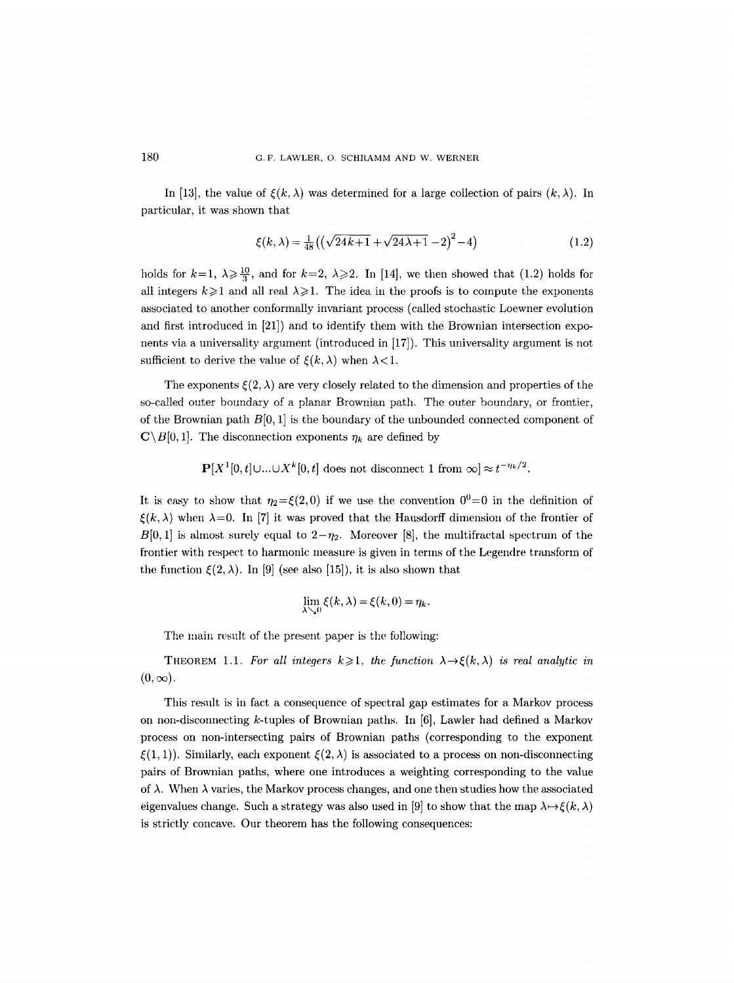In [13], the value of  $\xi(k, \lambda)$  was determined for a large collection of pairs  $(k, \lambda)$ . In particular, it was shown that

$$
\xi(k,\lambda) = \frac{1}{48} \left( \left( \sqrt{24k+1} + \sqrt{24\lambda+1} - 2 \right)^2 - 4 \right) \tag{1.2}
$$

holds for  $k=1, \lambda \geqslant \frac{10}{3}$ , and for  $k=2, \lambda \geqslant 2$ . In [14], we then showed that (1.2) holds for all integers  $k \ge 1$  and all real  $\lambda \ge 1$ . The idea in the proofs is to compute the exponents associated to another conforrnally invariant process (called stochastic Loewner evolution and first introduced in [21]) and to identify them with the Brownian intersection exponents via a universality argument (introduced in [17]). This universality argument is not sufficient to derive the value of  $\xi(k, \lambda)$  when  $\lambda < 1$ .

The exponents  $\zeta(2, \lambda)$  are very closely related to the dimension and properties of the so-called outer boundary of a planar Brownian path. The outer boundary, or frontier, of the Brownian path  $B[0, 1]$  is the boundary of the unbounded connected component of  $\mathbf{C}\setminus B[0, 1]$ . The disconnection exponents  $\eta_k$  are defined by

 $\mathbf{P}[X^1[0, t] \cup ... \cup X^k[0, t]$  does not disconnect 1 from  $\infty] \approx t^{-\eta_k/2}$ .

It is easy to show that  $\eta_2 = \xi(2,0)$  if we use the convention  $0^0 = 0$  in the definition of  $\xi(k, \lambda)$  when  $\lambda=0$ . In [7] it was proved that the Hausdorff dimension of the frontier of  $B[0,1]$  is almost surely equal to  $2-\eta_2$ . Moreover [8], the multifractal spectrum of the frontier with respect to harmonic measure is given in terms of the Legendre transform of the function  $\mathcal{E}(2, \lambda)$ . In [9] (see also [15]), it is also shown that

$$
\lim_{\lambda \searrow 0} \xi(k, \lambda) = \xi(k, 0) = \eta_k.
$$

The main result of the present paper is the following:

THEOREM 1.1. For all integers  $k \geq 1$ , the function  $\lambda \rightarrow \xi(k,\lambda)$  is real analytic in  $(0, \infty)$ .

This result is in fact a consequence of spectral gap estimates for a Markov process on non-disconnecting k-tuples of Brownian paths. In [6], Lawler had defined a Markov process on non-intersecting pairs of Brownian paths (corresponding to the exponent  $\xi(1, 1)$ ). Similarly, each exponent  $\xi(2, \lambda)$  is associated to a process on non-disconnecting pairs of Brownian paths, where one introduces a weighting corresponding to the value of  $\lambda$ . When  $\lambda$  varies, the Markov process changes, and one then studies how the associated eigenvalues change. Such a strategy was also used in [9] to show that the map  $\lambda \mapsto \xi(k, \lambda)$ is strictly concave. Our theorem has the following consequences: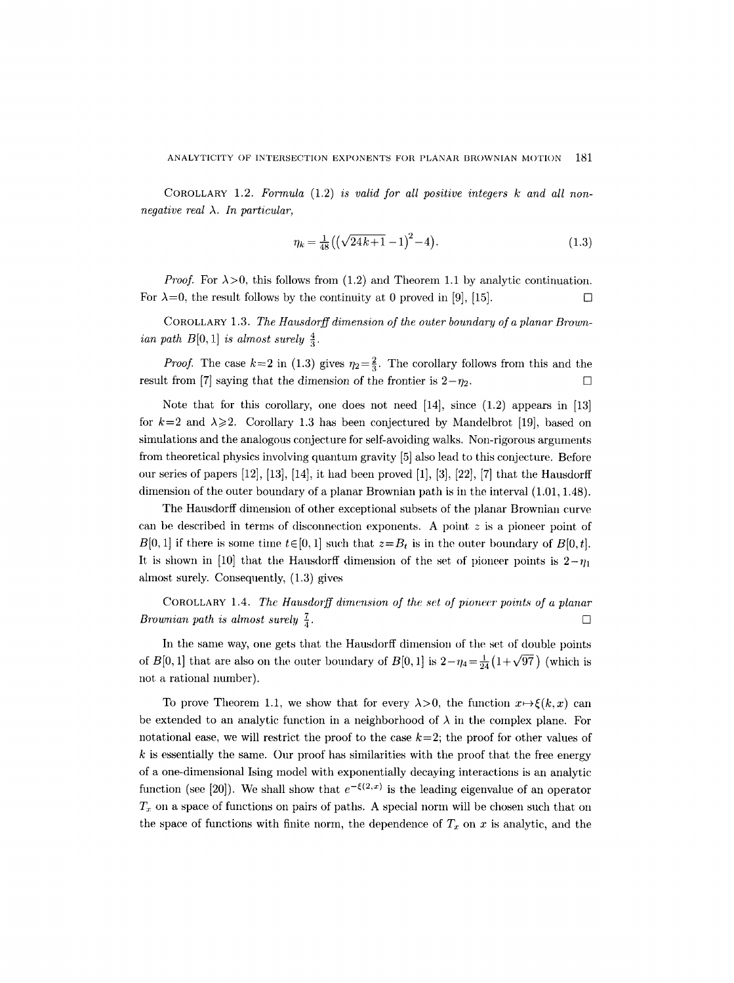COROLLARY 1.2. *Formula* (1.2) *is valid for all positive integers k and all nonnegative real*  $\lambda$ . *In particular,* 

$$
\eta_k = \frac{1}{48} \left( \left( \sqrt{24k+1} - 1 \right)^2 - 4 \right). \tag{1.3}
$$

*Proof.* For  $\lambda > 0$ , this follows from (1.2) and Theorem 1.1 by analytic continuation. For  $\lambda=0$ , the result follows by the continuity at 0 proved in [9], [15].

COROLLARY 1.3. *The Hausdorff dimension of the outer boundary of a planar Brownian path B*[0, 1] *is almost surely*  $\frac{4}{3}$ .

*Proof.* The case  $k=2$  in (1.3) gives  $\eta_2=\frac{2}{3}$ . The corollary follows from this and the result from [7] saying that the dimension of the frontier is  $2-\eta_2$ .

Note that for this corollary, one does not need [14], since (1.2) appears in [13] for  $k=2$  and  $\lambda \geq 2$ . Corollary 1.3 has been conjectured by Mandelbrot [19], based on simulations and the analogous conjecture for self-avoiding walks. Non-rigorous arguments from theoretical physics involving quantum gravity [5] also lead to this conjecture. Before our series of papers  $[12]$ ,  $[13]$ ,  $[14]$ , it had been proved  $[1]$ ,  $[3]$ ,  $[22]$ ,  $[7]$  that the Hausdorff dimension of the outer boundary of a planar Brownian path is in the interval (1.01, 1.48).

The Hausdorff dimension of other exceptional subsets of the planar Brownian curve can be described in terms of disconnection exponents. A point  $z$  is a pioneer point of  $B[0, 1]$  if there is some time  $t \in [0, 1]$  such that  $z = B_t$  is in the outer boundary of  $B[0, t]$ . It is shown in [10] that the Hausdorff dimension of the set of pioneer points is  $2-\eta_1$ ahnost surely. Consequently, (1.3) gives

COROLLARY 1.4. *The Hausdorff dimension of the set of pioneer points of a planar Brownian path is almost surely*  $\frac{7}{4}$ .

In the same way, one gets that the Hausdorff dimension of the set of double points of B[0, 1] that are also on the outer boundary of B[0, 1] is  $2-\eta_4 = \frac{1}{24}(1+\sqrt{97})$  (which is not a rational number).

To prove Theorem 1.1, we show that for every  $\lambda > 0$ , the function  $x \mapsto \xi(k, x)$  can be extended to an analytic function in a neighborhood of  $\lambda$  in the complex plane. For notational ease, we will restrict the proof to the case  $k=2$ ; the proof for other values of  $k$  is essentially the same. Our proof has similarities with the proof that the free energy of a one-dimensional Ising model with exponentially decaying interactions is an analytic function (see [20]). We shall show that  $e^{-\xi(2,x)}$  is the leading eigenvalue of an operator  $T_x$  on a space of functions on pairs of paths. A special norm will be chosen such that on the space of functions with finite norm, the dependence of  $T_x$  on x is analytic, and the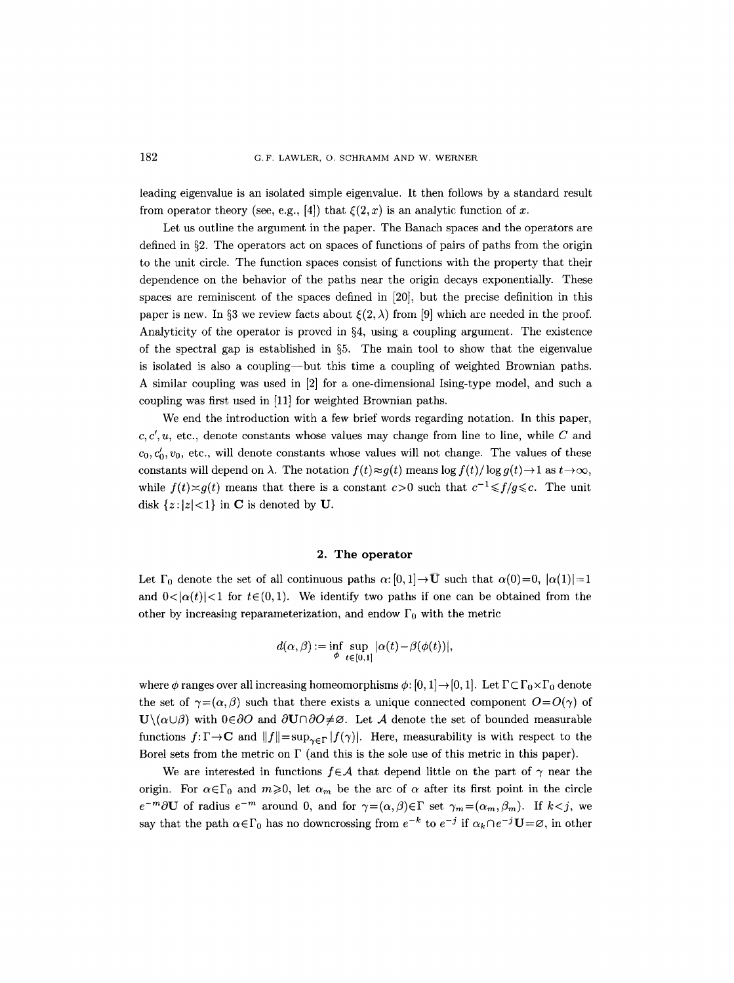leading eigenvalue is an isolated simple eigenvalue. It then follows by a standard result from operator theory (see, e.g., [4]) that  $\xi(2, x)$  is an analytic function of x.

Let us outline the argument in the paper. The Banach spaces and the operators are defined in  $\S2$ . The operators act on spaces of functions of pairs of paths from the origin to the unit circle. The function spaces consist of functions with the property that their dependence on the behavior of the paths near the origin decays exponentially. These spaces are reminiscent of the spaces defined in [20], but the precise definition in this paper is new. In §3 we review facts about  $\mathcal{E}(2, \lambda)$  from [9] which are needed in the proof. Analyticity of the operator is proved in  $\S 4$ , using a coupling argument. The existence of the spectral gap is established in  $\S5$ . The main tool to show that the eigenvalue is isolated is also a coupling--but this time a coupling of weighted Brownian paths. A similar coupling was used in [2] for a one-dimensional Ising-type model, and such a coupling was first used in [11] for weighted Brownian paths.

We end the introduction with a few brief words regarding notation. In this paper,  $c, c', u$ , etc., denote constants whose values may change from line to line, while C and  $c_0, c'_0, v_0$ , etc., will denote constants whose values will not change. The values of these constants will depend on  $\lambda$ . The notation  $f(t) \approx g(t)$  means  $\log f(t)/\log g(t) \to 1$  as  $t \to \infty$ , while  $f(t) \approx q(t)$  means that there is a constant  $c > 0$  such that  $c^{-1} \leq f/q \leq c$ . The unit disk  $\{z:|z|<1\}$  in C is denoted by U.

#### **2. The operator**

Let  $\Gamma_0$  denote the set of all continuous paths  $\alpha$ :  $[0, 1] \rightarrow \overline{U}$  such that  $\alpha(0)=0$ ,  $|\alpha(1)|=1$ and  $0<|\alpha(t)|<1$  for  $t\in(0,1)$ . We identify two paths if one can be obtained from the other by increasing reparameterization, and endow  $\Gamma_0$  with the metric

$$
d(\alpha, \beta) := \inf_{\phi} \sup_{t \in [0,1]} |\alpha(t) - \beta(\phi(t))|,
$$

where  $\phi$  ranges over all increasing homeomorphisms  $\phi$ :  $[0, 1] \rightarrow [0, 1]$ . Let  $\Gamma \subset \Gamma_0 \times \Gamma_0$  denote the set of  $\gamma = (\alpha, \beta)$  such that there exists a unique connected component  $O = O(\gamma)$  of  $\mathbf{U}\setminus(\alpha\cup\beta)$  with  $0\in\partial O$  and  $\partial\mathbf{U}\cap\partial O\neq\varnothing$ . Let A denote the set of bounded measurable functions  $f: \Gamma \to \mathbb{C}$  and  $||f|| = \sup_{\gamma \in \Gamma} |f(\gamma)|$ . Here, measurability is with respect to the Borel sets from the metric on  $\Gamma$  (and this is the sole use of this metric in this paper).

We are interested in functions  $f \in \mathcal{A}$  that depend little on the part of  $\gamma$  near the origin. For  $\alpha \in \Gamma_0$  and  $m \geq 0$ , let  $\alpha_m$  be the arc of  $\alpha$  after its first point in the circle  $e^{-m}\partial U$  of radius  $e^{-m}$  around 0, and for  $\gamma = (\alpha,\beta) \in \Gamma$  set  $\gamma_m = (\alpha_m,\beta_m)$ . If  $k < j$ , we say that the path  $\alpha \in \Gamma_0$  has no downcrossing from  $e^{-k}$  to  $e^{-j}$  if  $\alpha_k \cap e^{-j}U = \emptyset$ , in other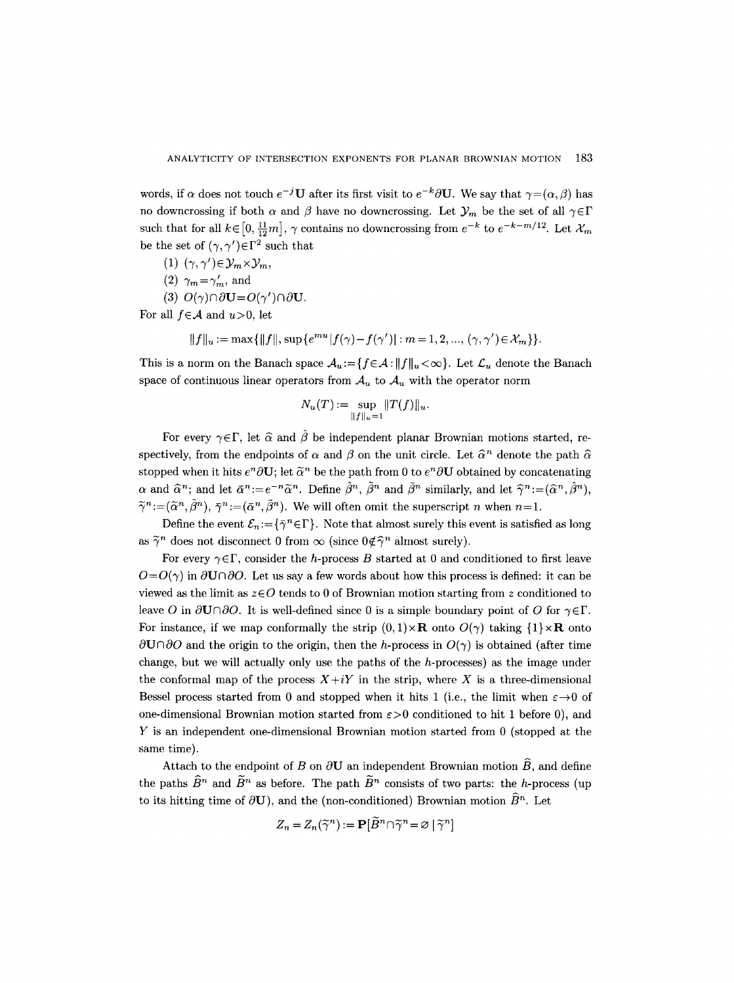words, if  $\alpha$  does not touch  $e^{-j}$ **U** after its first visit to  $e^{-k}\partial$ **U**. We say that  $\gamma = (\alpha, \beta)$  has no downcrossing if both  $\alpha$  and  $\beta$  have no downcrossing. Let  $\mathcal{Y}_m$  be the set of all  $\gamma \in \Gamma$ such that for all  $k \in [0, \frac{11}{12}m]$ ,  $\gamma$  contains no downcrossing from  $e^{-k}$  to  $e^{-k-m/12}$ . Let  $\mathcal{X}_m$ be the set of  $(\gamma, \gamma') \in \Gamma^2$  such that

- (1)  $(\gamma, \gamma') \in \mathcal{Y}_m \times \mathcal{Y}_m$ ,
- (2)  $\gamma_m = \gamma'_m$ , and
- (3)  $O(\gamma) \cap \partial U = O(\gamma') \cap \partial U$ .

For all  $f \in \mathcal{A}$  and  $u > 0$ , let

 $||f||_u := \max\{||f||, \sup\{e^{mu}||f(\gamma)-f(\gamma')|| : m = 1, 2, ..., (\gamma, \gamma')\in \mathcal{X}_m\}\}.$ 

This is a norm on the Banach space  $\mathcal{A}_u:=\{f\in\mathcal{A}: ||f||_u<\infty\}$ . Let  $\mathcal{L}_u$  denote the Banach space of continuous linear operators from  $A_u$  to  $A_u$  with the operator norm

$$
N_u(T) := \sup_{\|f\|_u = 1} \|T(f)\|_u.
$$

For every  $\gamma \in \Gamma$ , let  $\hat{\alpha}$  and  $\hat{\beta}$  be independent planar Brownian motions started, respectively, from the endpoints of  $\alpha$  and  $\beta$  on the unit circle. Let  $\widehat{\alpha}^n$  denote the path  $\widehat{\alpha}$ stopped when it hits  $e^n\partial U$ ; let  $\tilde{\alpha}^n$  be the path from 0 to  $e^n\partial U$  obtained by concatenating  $\alpha$  and  $\hat{\alpha}^n$ ; and let  $\bar{\alpha}^n := e^{-n}\tilde{\alpha}^n$ . Define  $\hat{\beta}^n$ ,  $\tilde{\beta}^n$  and  $\bar{\beta}^n$  similarly, and let  $\hat{\gamma}^n := (\hat{\alpha}^n, \hat{\beta}^n)$ ,  $\tilde{\gamma}^n :=(\tilde{\alpha}^n, \tilde{\beta}^n), \ \bar{\gamma}^n :=(\bar{\alpha}^n, \bar{\beta}^n).$  We will often omit the superscript n when  $n=1$ .

Define the event  $\mathcal{E}_n := \{ \bar{\gamma}^n \in \Gamma \}$ . Note that almost surely this event is satisfied as long as  $\tilde{\gamma}^n$  does not disconnect 0 from  $\infty$  (since  $0 \notin \hat{\gamma}^n$  almost surely).

For every  $\gamma \in \Gamma$ , consider the h-process B started at 0 and conditioned to first leave  $O=O(\gamma)$  in  $\partial$ **U** $\cap$  $\partial$ O. Let us say a few words about how this process is defined: it can be viewed as the limit as  $z \in O$  tends to 0 of Brownian motion starting from z conditioned to leave O in  $\partial$ **U** $\cap$  $\partial$ O. It is well-defined since 0 is a simple boundary point of O for  $\gamma \in \Gamma$ . For instance, if we map conformally the strip  $(0,1)\times\mathbf{R}$  onto  $O(\gamma)$  taking  $\{1\}\times\mathbf{R}$  onto  $\partial$ U $\cap$  $\partial$ O and the origin to the origin, then the h-process in  $O(\gamma)$  is obtained (after time change, but we will actually only use the paths of the h-processes) as the image under the conformal map of the process  $X+iY$  in the strip, where X is a three-dimensional Bessel process started from 0 and stopped when it hits 1 (i.e., the limit when  $\varepsilon \rightarrow 0$  of one-dimensional Brownian motion started from  $\varepsilon > 0$  conditioned to hit 1 before 0), and Y is an independent one-dimensional Brownian motion started from 0 (stopped at the same time).

Attach to the endpoint of B on  $\partial$ **U** an independent Brownian motion  $\widehat{B}$ , and define the paths  $\widehat{B}^n$  and  $\widetilde{B}^n$  as before. The path  $\widetilde{B}^n$  consists of two parts: the h-process (up to its hitting time of  $\partial U$ ), and the (non-conditioned) Brownian motion  $\widehat{B}^n$ . Let

$$
Z_n = Z_n(\widetilde{\gamma}^n) := \mathbf{P}[\widetilde{B}^n \cap \widetilde{\gamma}^n = \varnothing \mid \widetilde{\gamma}^n]
$$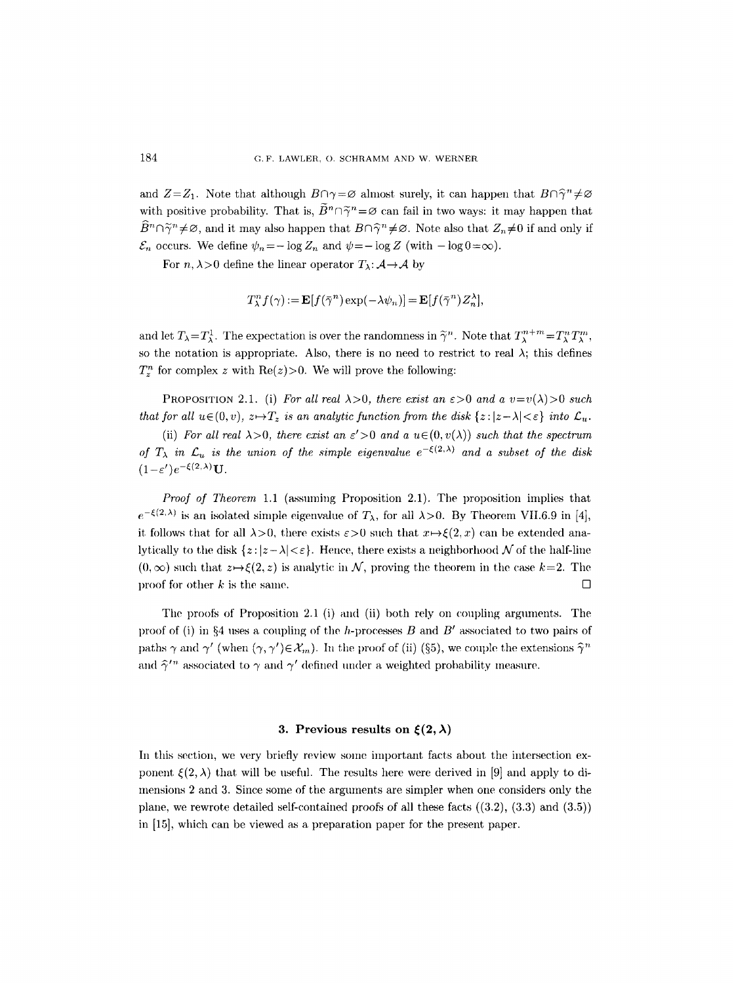and  $Z=Z_1$ . Note that although  $B\cap \gamma = \varnothing$  almost surely, it can happen that  $B\cap \hat{\gamma}^n \neq \varnothing$ with positive probability. That is,  $\widetilde{B}^n \cap \widetilde{\gamma}^n = \varnothing$  can fail in two ways: it may happen that  $\widehat{B}^n \cap \widetilde{\gamma}^n \neq \emptyset$ , and it may also happen that  $B \cap \widehat{\gamma}^n \neq \emptyset$ . Note also that  $Z_n \neq 0$  if and only if  $\mathcal{E}_n$  occurs. We define  $\psi_n=-\log Z_n$  and  $\psi=-\log Z$  (with  $-\log 0=\infty$ ).

For  $n, \lambda > 0$  define the linear operator  $T_{\lambda} : A \rightarrow A$  by

$$
T_{\lambda}^{n} f(\gamma) := \mathbf{E}[f(\bar{\gamma}^{n}) \exp(-\lambda \psi_{n})] = \mathbf{E}[f(\bar{\gamma}^{n}) Z_{n}^{\lambda}],
$$

and let  $T_{\lambda} = T_{\lambda}^1$ . The expectation is over the randomness in  $\tilde{\gamma}^n$ . Note that  $T_{\lambda}^{n+m} = T_{\lambda}^n T_{\lambda}^m$ , so the notation is appropriate. Also, there is no need to restrict to real  $\lambda$ ; this defines  $T_z^n$  for complex z with  $\text{Re}(z)$ >0. We will prove the following:

PROPOSITION 2.1. (i) *For all real*  $\lambda > 0$ *, there exist an*  $\epsilon > 0$  *and a*  $v = v(\lambda) > 0$  *such that for all*  $u \in (0, v)$ ,  $z \mapsto T_z$  *is an analytic function from the disk*  $\{z : |z - \lambda| < \varepsilon\}$  *into*  $\mathcal{L}_u$ .

(ii) *For all real*  $\lambda > 0$ *, there exist an*  $\varepsilon' > 0$  *and a*  $u \in (0, v(\lambda))$  *such that the spectrum of*  $T_{\lambda}$  *in*  $\mathcal{L}_u$  *is the union of the simple eigenvalue*  $e^{-\xi(2,\lambda)}$  *and a subset of the disk*  $(1-\varepsilon')e^{-\xi(2,\lambda)}\mathbf{U}.$ 

*Proof of Theorem 1.1* (assuming Proposition 2.1). The proposition implies that  $e^{-\xi(2,\lambda)}$  is an isolated simple eigenvalue of  $T_{\lambda}$ , for all  $\lambda > 0$ . By Theorem VII.6.9 in [4], it follows that for all  $\lambda > 0$ , there exists  $\varepsilon > 0$  such that  $x \mapsto \xi(2, x)$  can be extended analytically to the disk  $\{z:|z-\lambda|<\varepsilon\}$ . Hence, there exists a neighborhood N of the half-line  $(0, \infty)$  such that  $z \mapsto \xi(2, z)$  is analytic in N, proving the theorem in the case  $k=2$ . The proof for other k is the same.  $\Box$ 

The proofs of Proposition 2.1 (i) and (ii) both rely on coupling arguments. The proof of (i) in §4 uses a coupling of the h-processes B and B' associated to two pairs of paths  $\gamma$  and  $\gamma'$  (when  $(\gamma, \gamma') \in \mathcal{X}_m$ ). In the proof of (ii) (§5), we couple the extensions  $\hat{\gamma}^n$ and  $\hat{\gamma}'^{\prime n}$  associated to  $\gamma$  and  $\gamma'$  defined under a weighted probability measure.

#### **3. Previous results on**  $\xi(2,\lambda)$

In this section, we very briefly review some important facts about the intersection exponent  $\xi(2,\lambda)$  that will be useful. The results here were derived in [9] and apply to dimensions 2 and 3. Since some of the arguments are simpler when one considers only the plane, we rewrote detailed self-contained proofs of all these facts ((3.2), (3.3) and (3.5)) in [15], which can be viewed as a preparation paper for the present paper.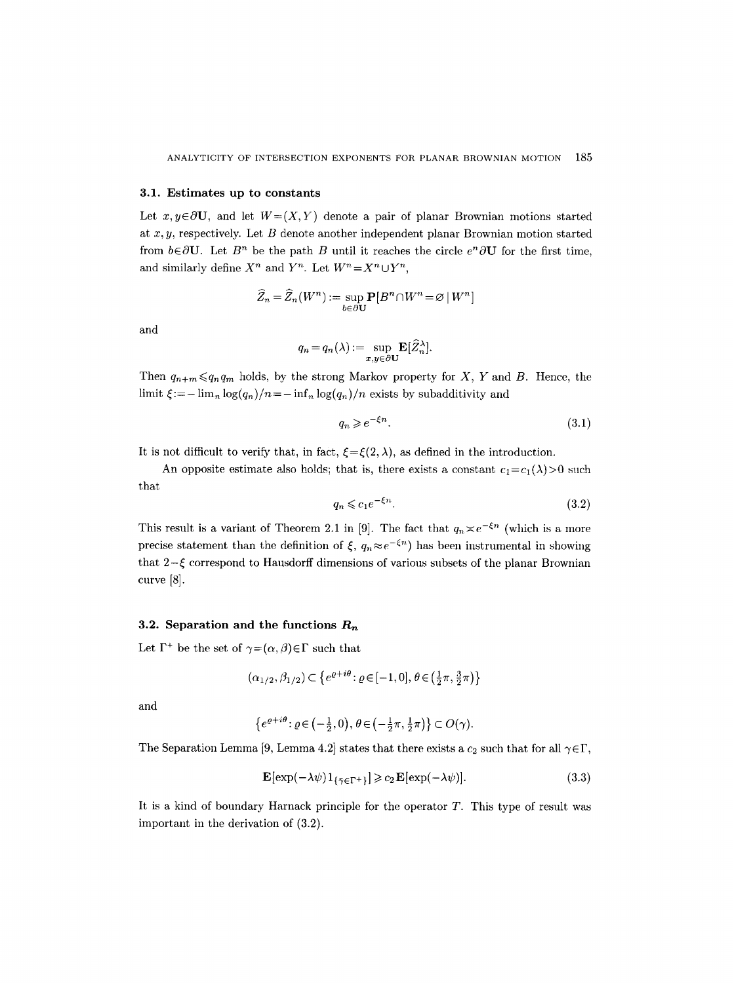#### **3.1. Estimates up to constants**

Let  $x, y \in \partial U$ , and let  $W=(X, Y)$  denote a pair of planar Brownian motions started at  $x, y$ , respectively. Let  $B$  denote another independent planar Brownian motion started from  $b \in \partial U$ . Let  $B^n$  be the path B until it reaches the circle  $e^n \partial U$  for the first time, and similarly define  $X^n$  and  $Y^n$ . Let  $W^n = X^n \cup Y^n$ ,

$$
\widehat{Z}_n = \widehat{Z}_n(W^n) := \sup_{b \in \partial \mathbf{U}} \mathbf{P}[B^n \cap W^n\! = \varnothing \,|\, W^n]
$$

and

$$
q_n = q_n(\lambda) := \sup_{x,y \in \partial \mathbf{U}} \mathbf{E}[\widehat{Z}_n^{\lambda}].
$$

Then  $q_{n+m} \leq q_n q_m$  holds, by the strong Markov property for X, Y and B. Hence, the limit  $\xi:=-\lim_{n} \log(q_n)/n=-\inf_{n} \log(q_n)/n$  exists by subadditivity and

$$
q_n \geqslant e^{-\xi n}.\tag{3.1}
$$

It is not difficult to verify that, in fact,  $\xi = \xi(2, \lambda)$ , as defined in the introduction.

An opposite estimate also holds; that is, there exists a constant  $c_1=c_1(\lambda)>0$  such that

$$
q_n \leqslant c_1 e^{-\xi n}.\tag{3.2}
$$

This result is a variant of Theorem 2.1 in [9]. The fact that  $q_n \n\t\approx e^{-\xi n}$  (which is a more precise statement than the definition of  $\xi$ ,  $q_n \approx e^{-\xi n}$  has been instrumental in showing that  $2-\xi$  correspond to Hausdorff dimensions of various subsets of the planar Brownian curve [8].

#### **3.2. Separation and the functions**  $R_n$

Let  $\Gamma^+$  be the set of  $\gamma = (\alpha, \beta) \in \Gamma$  such that

$$
(\alpha_{1/2}, \beta_{1/2}) \subset \{e^{\varrho + i\theta} \colon \varrho \in [-1, 0], \, \theta \in \left(\frac{1}{2}\pi, \frac{3}{2}\pi\right)\}
$$

and

$$
\left\{e^{\varrho+i\theta}\colon \varrho\in\left(-\frac{1}{2},0\right),\,\theta\in\left(-\frac{1}{2}\pi,\frac{1}{2}\pi\right)\right\}\subset O(\gamma).
$$

The Separation Lemma [9, Lemma 4.2] states that there exists a  $c_2$  such that for all  $\gamma \in \Gamma$ ,

$$
\mathbf{E}[\exp(-\lambda\psi)\mathbf{1}_{\{\bar{\gamma}\in\Gamma^{+}\}}] \geqslant c_2 \mathbf{E}[\exp(-\lambda\psi)].\tag{3.3}
$$

It is a kind of boundary Harnack principle for the operator T. This type of result was important in the derivation of (3.2).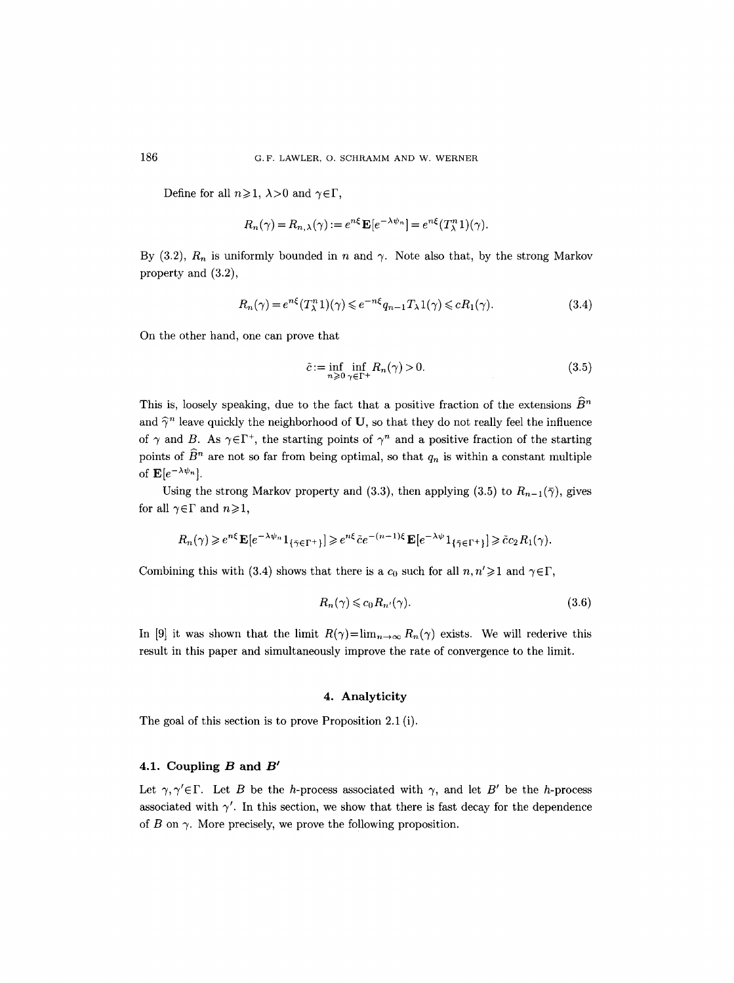Define for all  $n\geqslant 1$ ,  $\lambda>0$  and  $\gamma\in\Gamma$ ,

$$
R_n(\gamma) = R_{n,\lambda}(\gamma) := e^{n\xi} \mathbf{E} [e^{-\lambda \psi_n}] = e^{n\xi} (T_{\lambda}^n 1)(\gamma).
$$

By  $(3.2)$ ,  $R_n$  is uniformly bounded in n and  $\gamma$ . Note also that, by the strong Markov property and (3.2),

$$
R_n(\gamma) = e^{n\xi} (T_\lambda^n 1)(\gamma) \leq e^{-n\xi} q_{n-1} T_\lambda 1(\gamma) \leq c R_1(\gamma).
$$
\n(3.4)

On the other hand, one can prove that

$$
\tilde{c} := \inf_{n \geq 0} \inf_{\gamma \in \Gamma^+} R_n(\gamma) > 0.
$$
\n(3.5)

This is, loosely speaking, due to the fact that a positive fraction of the extensions  $\widehat{B}^n$ and  $\hat{\gamma}^n$  leave quickly the neighborhood of U, so that they do not really feel the influence of  $\gamma$  and B. As  $\gamma \in \Gamma^+$ , the starting points of  $\gamma^n$  and a positive fraction of the starting points of  $\widehat{B}^n$  are not so far from being optimal, so that  $q_n$  is within a constant multiple of  $\mathbf{E}[e^{-\lambda \psi_n}].$ 

Using the strong Markov property and (3.3), then applying (3.5) to  $R_{n-1}(\bar{\gamma})$ , gives for all  $\gamma \in \Gamma$  and  $n \geq 1$ ,

$$
R_n(\gamma) \geqslant e^{n\xi} \mathbf{E}[e^{-\lambda \psi_n} 1_{\{\bar{\gamma} \in \Gamma^+\}}] \geqslant e^{n\xi} \tilde{c} e^{-(n-1)\xi} \mathbf{E}[e^{-\lambda \psi} 1_{\{\bar{\gamma} \in \Gamma^+\}}] \geqslant \tilde{c} c_2 R_1(\gamma).
$$

Combining this with (3.4) shows that there is a  $c_0$  such for all  $n, n' \geq 1$  and  $\gamma \in \Gamma$ ,

$$
R_n(\gamma) \leqslant c_0 R_{n'}(\gamma). \tag{3.6}
$$

In [9] it was shown that the limit  $R(\gamma) = \lim_{n \to \infty} R_n(\gamma)$  exists. We will rederive this result in this paper and simultaneously improve the rate of convergence to the limit.

## **4. Analyticity**

The goal of this section is to prove Proposition 2.1 (i).

## 4.1. Coupling  $B$  and  $B'$

Let  $\gamma, \gamma' \in \Gamma$ . Let B be the h-process associated with  $\gamma$ , and let B' be the h-process associated with  $\gamma'$ . In this section, we show that there is fast decay for the dependence of B on  $\gamma$ . More precisely, we prove the following proposition.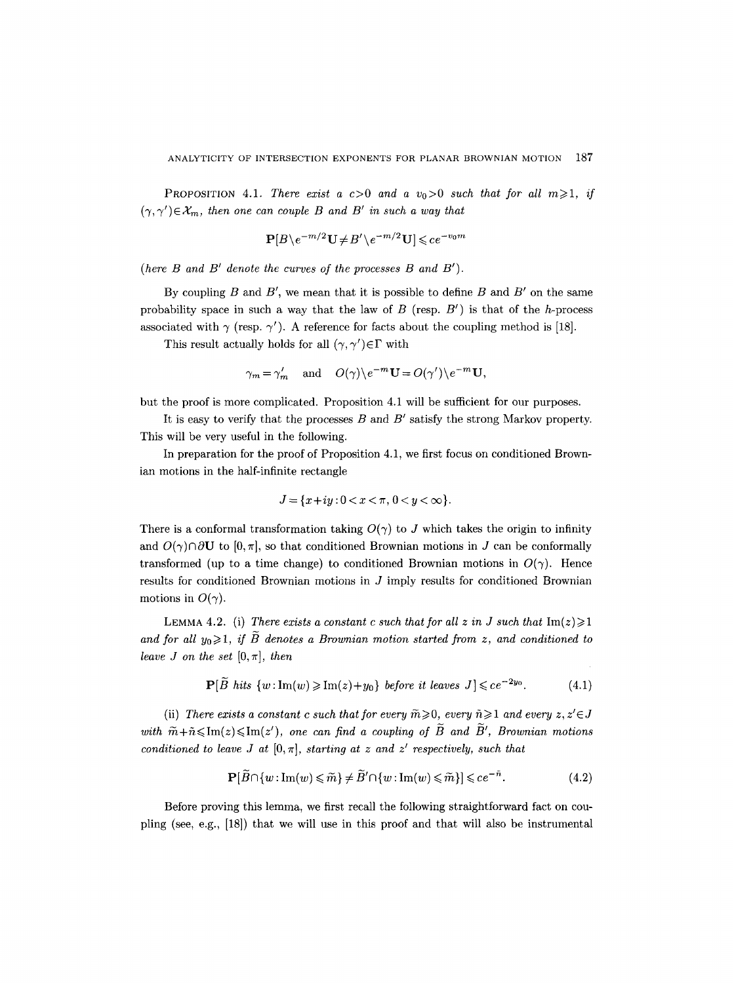**PROPOSITION** 4.1. *There exist a c*>0 *and a v*<sub>0</sub>>0 *such that for all m* $\geq$ 1, *if*  $(\gamma, \gamma') \in \mathcal{X}_m$ , then one can couple B and B' in such a way that

$$
\mathbf{P}[B \backslash e^{-m/2} \mathbf{U} \neq B' \backslash e^{-m/2} \mathbf{U}] \leqslant ce^{-v_0 m}
$$

*(here B and B' denote the curves of the processes B and B').* 

By coupling  $B$  and  $B'$ , we mean that it is possible to define  $B$  and  $B'$  on the same probability space in such a way that the law of  $B$  (resp.  $B'$ ) is that of the h-process associated with  $\gamma$  (resp.  $\gamma'$ ). A reference for facts about the coupling method is [18].

This result actually holds for all  $(\gamma, \gamma') \in \Gamma$  with

$$
\gamma_m = \gamma'_m
$$
 and  $O(\gamma) \setminus e^{-m} \mathbf{U} = O(\gamma') \setminus e^{-m} \mathbf{U}$ ,

but the proof is more complicated. Proposition 4.1 will be sufficient for our purposes.

It is easy to verify that the processes  $B$  and  $B'$  satisfy the strong Markov property. This will be very useful in the following.

In preparation for the proof of Proposition 4.1, we first focus on conditioned Brownian motions in the half-infinite rectangle

$$
J = \{x+iy : 0 < x < \pi, \, 0 < y < \infty\}.
$$

There is a conformal transformation taking  $O(\gamma)$  to J which takes the origin to infinity and  $O(\gamma)\cap\partial\mathbf{U}$  to  $[0, \pi]$ , so that conditioned Brownian motions in J can be conformally transformed (up to a time change) to conditioned Brownian motions in  $O(\gamma)$ . Hence results for conditioned Brownian motions in  $J$  imply results for conditioned Brownian motions in  $O(\gamma)$ .

LEMMA 4.2. (i) There exists a constant c such that for all z in J such that  $\text{Im}(z) \geq 1$ and for all  $y_0 \geq 1$ , if B denotes a Brownian motion started from z, and conditioned to *leave J on the set*  $[0, \pi]$ *, then* 

$$
\mathbf{P}[\widetilde{B} \text{ hits } \{w : \text{Im}(w) \geq \text{Im}(z) + y_0\} \text{ before it leaves } J] \leqslant ce^{-2y_0}.
$$
 (4.1)

(ii) *There exists a constant c such that for every*  $\widetilde{m} \geqslant 0$ , every  $\widetilde{n} \geqslant 1$  *and every z, z'* $\in$ *J* with  $\widetilde{m}+\widetilde{n}\leq \text{Im}(z)\leq \text{Im}(z')$ , one can find a coupling of  $\widetilde{B}$  and  $\widetilde{B}'$ , Brownian motions *conditioned to leave J at*  $[0, \pi]$ *, starting at z and z' respectively, such that* 

$$
\mathbf{P}[\widetilde{B} \cap \{w : \text{Im}(w) \leq \widetilde{m}\} \neq \widetilde{B}' \cap \{w : \text{Im}(w) \leq \widetilde{m}\}] \leqslant ce^{-\widetilde{n}}.\tag{4.2}
$$

Before proving this lemma, we first recall the following straightforward fact on coupling (see, e.g., [18]) that we will use in this proof and that will also be instrumental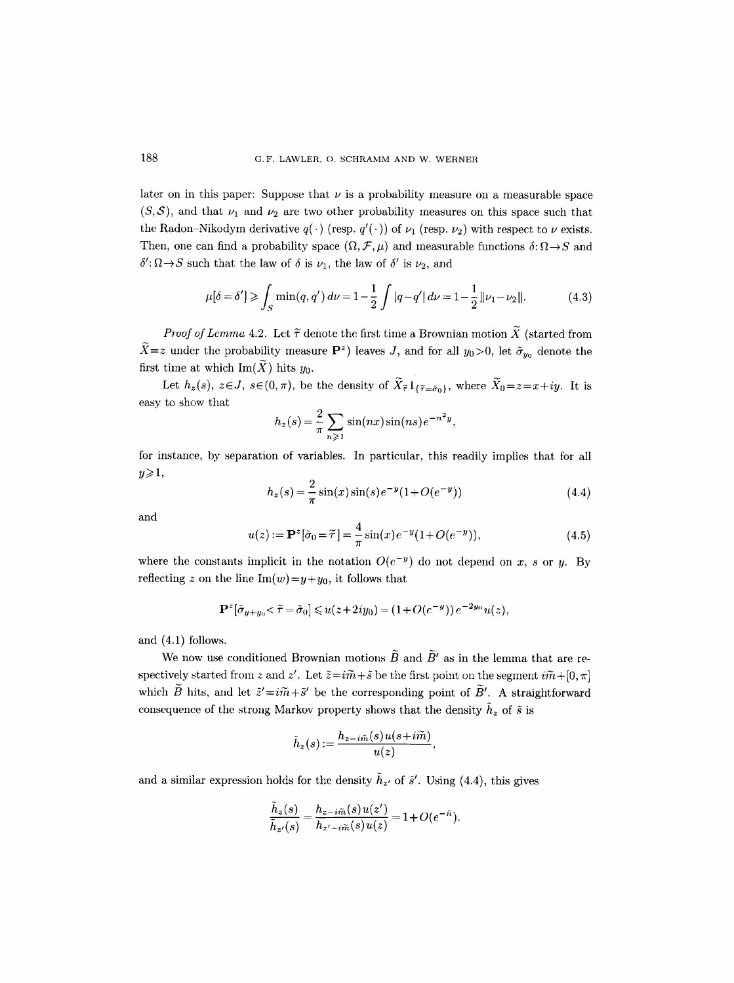later on in this paper: Suppose that  $\nu$  is a probability measure on a measurable space  $(S, S)$ , and that  $\nu_1$  and  $\nu_2$  are two other probability measures on this space such that the Radon-Nikodym derivative  $q(\cdot)$  (resp.  $q'(\cdot)$ ) of  $\nu_1$  (resp.  $\nu_2$ ) with respect to  $\nu$  exists. Then, one can find a probability space  $(\Omega, \mathcal{F}, \mu)$  and measurable functions  $\delta : \Omega \to S$  and  $\delta' : \Omega \rightarrow S$  such that the law of  $\delta$  is  $\nu_1$ , the law of  $\delta'$  is  $\nu_2$ , and

$$
\mu[\delta = \delta'] \ge \int_S \min(q, q') d\nu = 1 - \frac{1}{2} \int |q - q'| d\nu = 1 - \frac{1}{2} ||\nu_1 - \nu_2||. \tag{4.3}
$$

*Proof of Lemma 4.2.* Let  $\tilde{\tau}$  denote the first time a Brownian motion  $\tilde{X}$  (started from  $\widetilde{X}=z$  under the probability measure  $\mathbf{P}^z$ ) leaves J, and for all  $y_0>0$ , let  $\tilde{\sigma}_{y_0}$  denote the first time at which Im( $\widetilde{X}$ ) hits  $y_0$ .

Let  $h_z(s)$ ,  $z \in J$ ,  $s \in (0, \pi)$ , be the density of  $\widetilde{X}_{\widetilde{\tau}} 1_{\{\widetilde{\tau} = \widetilde{\sigma}_0\}}$ , where  $\widetilde{X}_0 = z = x + iy$ . It is easy to show that

$$
h_z(s) = \frac{2}{\pi} \sum_{n \ge 1} \sin(nx) \sin(ns) e^{-n^2 y},
$$

for instance, by separation of variables. In particular, this readily implies that for all  $y\geqslant1,$ 

$$
h_z(s) = \frac{2}{\pi} \sin(x) \sin(s) e^{-y} (1 + O(e^{-y}))
$$
\n(4.4)

and

$$
u(z) := \mathbf{P}^{z}[\tilde{\sigma}_0 = \tilde{\tau}] = \frac{4}{\pi} \sin(x) e^{-y} (1 + O(e^{-y})), \tag{4.5}
$$

where the constants implicit in the notation  $O(e^{-y})$  do not depend on x, s or y. By reflecting z on the line  $Im(w)=y+y_0$ , it follows that

$$
\mathbf{P}^z[\tilde{\sigma}_{y+y_0}\langle\tilde{\tau}=\tilde{\sigma}_0]\leqslant u(z+2iy_0)=(1+O(e^{-y}))e^{-2y_0}u(z),
$$

and (4.1) follows.

We now use conditioned Brownian motions  $\widetilde{B}$  and  $\widetilde{B}'$  as in the lemma that are respectively started from z and z'. Let  $\tilde{z} = i\tilde{m} + \tilde{s}$  be the first point on the segment  $i\tilde{m} + [0, \pi]$ which  $\widetilde{B}$  hits, and let  $\widetilde{z}'=i\widetilde{m}+\widetilde{s}'$  be the corresponding point of  $\widetilde{B}'$ . A straightforward consequence of the strong Markov property shows that the density  $\tilde{h}_z$  of  $\tilde{s}$  is

$$
\tilde{h}_z(s)\!:=\!\frac{h_{z-i\widetilde{m}}(s)\hspace{0.5pt}u(s\!+\!i\widetilde{m})}{u(z)},
$$

and a similar expression holds for the density  $\tilde{h}_{z'}$  of  $\tilde{s}'$ . Using (4.4), this gives

$$
\frac{\dot{h}_z(s)}{\tilde{h}_{z'}(s)} = \frac{h_{z-i\tilde{m}}(s)u(z')}{h_{z'-i\tilde{m}}(s)u(z)} = 1 + O(e^{-\tilde{n}}).
$$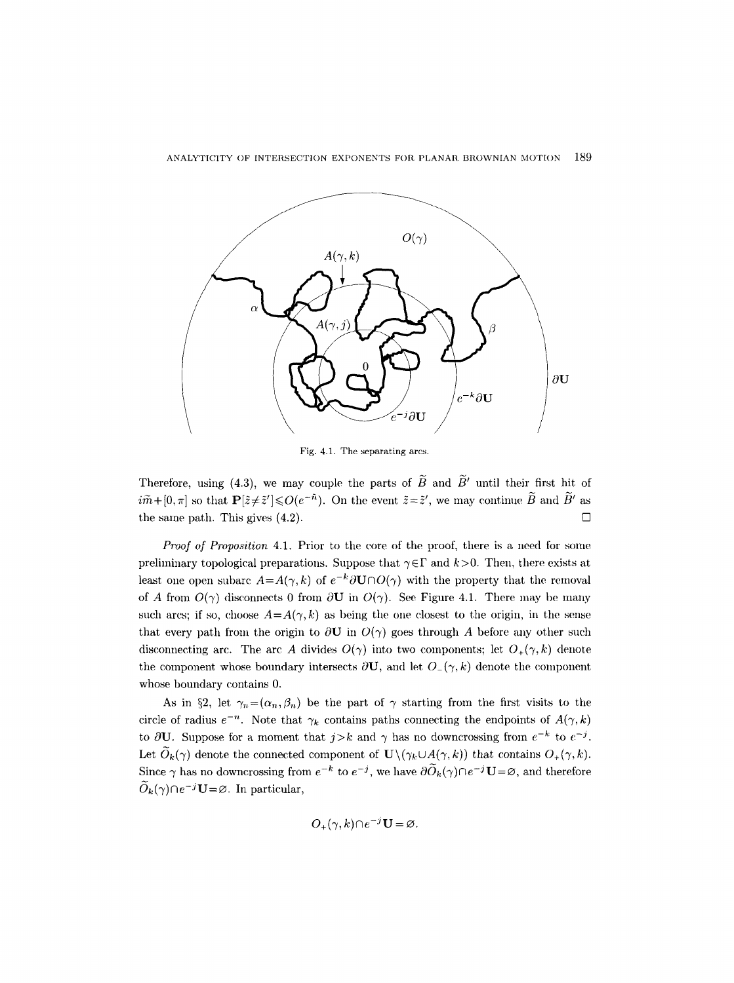

Fig. 4.1. The separating arcs.

Therefore, using (4.3), we may couple the parts of  $\widetilde{B}$  and  $\widetilde{B}'$  until their first hit of  $i\tilde{m}+[0, \pi]$  so that  $\mathbf{P}[\tilde{z} \neq \tilde{z}'] \leqslant O(e^{-\tilde{n}})$ . On the event  $\tilde{z}=\tilde{z}'$ , we may continue  $\tilde{B}$  and  $\tilde{B}'$  as the same path. This gives  $(4.2)$ .

*Proof of Proposition 4.1.* Prior to the core of the proof, there is a need for some preliminary topological preparations. Suppose that  $\gamma \in \Gamma$  and  $k > 0$ . Then, there exists at least one open subarc  $A=A(\gamma, k)$  of  $e^{-k}\partial U\cap O(\gamma)$  with the property that the removal of A from  $O(\gamma)$  disconnects 0 from  $\partial U$  in  $O(\gamma)$ . See Figure 4.1. There may be many such arcs; if so, choose  $A = A(\gamma, k)$  as being the one closest to the origin, in the sense that every path from the origin to  $\partial U$  in  $O(\gamma)$  goes through A before any other such disconnecting arc. The arc A divides  $O(\gamma)$  into two components; let  $O_+(\gamma, k)$  denote the component whose boundary intersects  $\partial \mathbf{U}$ , and let  $O_{-}(\gamma, k)$  denote the component whose boundary contains 0.

As in §2, let  $\gamma_n=(\alpha_n,\beta_n)$  be the part of  $\gamma$  starting from the first visits to the circle of radius  $e^{-n}$ . Note that  $\gamma_k$  contains paths connecting the endpoints of  $A(\gamma, k)$ to  $\partial U$ . Suppose for a moment that  $j > k$  and  $\gamma$  has no downcrossing from  $e^{-k}$  to  $e^{-j}$ . Let  $\widetilde{O}_k(\gamma)$  denote the connected component of  $\mathbf{U}\setminus(\gamma_k\cup A(\gamma, k))$  that contains  $O_+(\gamma, k)$ . Since  $\gamma$  has no downcrossing from  $e^{-k}$  to  $e^{-j}$ , we have  $\partial \widetilde{O}_k(\gamma) \cap e^{-j}U = \varnothing$ , and therefore  $\hat{O}_k(\gamma) \cap e^{-j}U = \emptyset$ . In particular,

$$
O_{+}(\gamma, k) \cap e^{-j} \mathbf{U} = \varnothing.
$$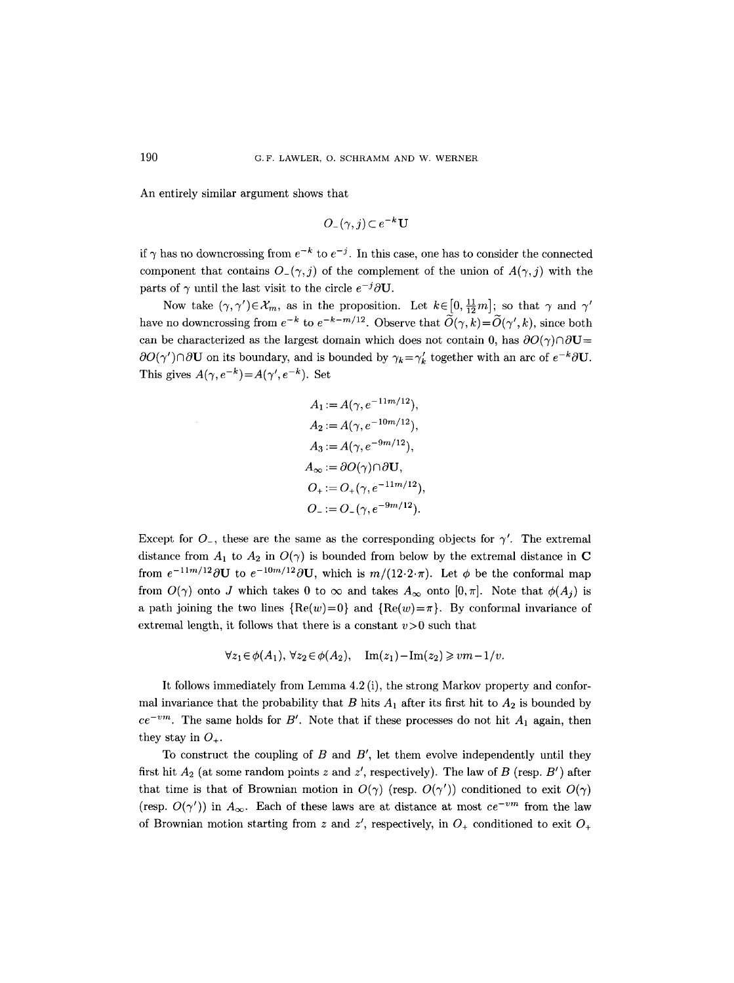An entirely similar argument shows that

$$
O_-(\gamma,j)\!\subset\!e^{-k}\mathbf{U}
$$

if  $\gamma$  has no downcrossing from  $e^{-k}$  to  $e^{-j}$ . In this case, one has to consider the connected component that contains  $O_{-}(\gamma, j)$  of the complement of the union of  $A(\gamma, j)$  with the parts of  $\gamma$  until the last visit to the circle  $e^{-j}\partial U$ .

Now take  $(\gamma, \gamma') \in \mathcal{X}_m$ , as in the proposition. Let  $k \in [0, \frac{11}{12}m]$ ; so that  $\gamma$  and  $\gamma'$ have no downcrossing from  $e^{-k}$  to  $e^{-k-m/12}$ . Observe that  $\widetilde{O}(\gamma, k)=\widetilde{O}(\gamma', k)$ , since both can be characterized as the largest domain which does not contain 0, has  $\partial O(\gamma) \cap \partial U=$  $\partial O(\gamma') \cap \partial U$  on its boundary, and is bounded by  $\gamma_k = \gamma'_k$  together with an arc of  $e^{-k}\partial U$ . This gives  $A(\gamma, e^{-k}) = A(\gamma', e^{-k})$ . Set

$$
A_1 := A(\gamma, e^{-11m/12}),
$$
  
\n
$$
A_2 := A(\gamma, e^{-10m/12}),
$$
  
\n
$$
A_3 := A(\gamma, e^{-9m/12}),
$$
  
\n
$$
A_{\infty} := \partial O(\gamma) \cap \partial U,
$$
  
\n
$$
O_+ := O_+(\gamma, e^{-11m/12}),
$$
  
\n
$$
O_- := O_-(\gamma, e^{-9m/12}).
$$

Except for  $O_{-}$ , these are the same as the corresponding objects for  $\gamma'$ . The extremal distance from  $A_1$  to  $A_2$  in  $O(\gamma)$  is bounded from below by the extremal distance in C from  $e^{-11m/12}\partial U$  to  $e^{-10m/12}\partial U$ , which is  $m/(12\cdot 2\cdot \pi)$ . Let  $\phi$  be the conformal map from  $O(\gamma)$  onto J which takes 0 to  $\infty$  and takes  $A_{\infty}$  onto  $[0, \pi]$ . Note that  $\phi(A_i)$  is a path joining the two lines  ${Re(w)=0}$  and  ${Re(w)=\pi}$ . By conformal invariance of extremal length, it follows that there is a constant  $v>0$  such that

$$
\forall z_1 \in \phi(A_1), \ \forall z_2 \in \phi(A_2), \quad \text{Im}(z_1) - \text{Im}(z_2) \geqslant v m - 1/v.
$$

It follows immediately from Lemma 4.2 (i), the strong Markov property and conformal invariance that the probability that B hits  $A_1$  after its first hit to  $A_2$  is bounded by  $ce^{-vm}$ . The same holds for B'. Note that if these processes do not hit  $A_1$  again, then they stay in  $O_+$ .

To construct the coupling of  $B$  and  $B'$ , let them evolve independently until they first hit  $A_2$  (at some random points z and z', respectively). The law of B (resp.  $B'$ ) after that time is that of Brownian motion in  $O(\gamma)$  (resp.  $O(\gamma')$ ) conditioned to exit  $O(\gamma)$ (resp.  $O(\gamma')$ ) in  $A_{\infty}$ . Each of these laws are at distance at most  $ce^{-vm}$  from the law of Brownian motion starting from z and z', respectively, in  $O_+$  conditioned to exit  $O_+$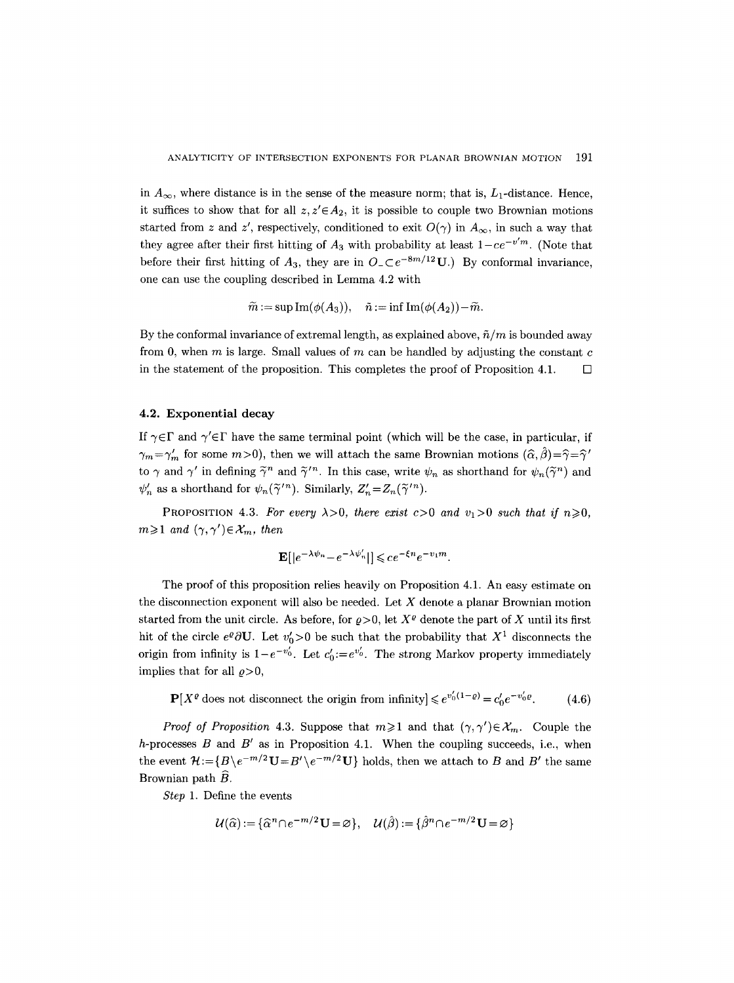in  $A_{\infty}$ , where distance is in the sense of the measure norm; that is,  $L_1$ -distance. Hence, it suffices to show that for all  $z, z' \in A_2$ , it is possible to couple two Brownian motions started from z and z', respectively, conditioned to exit  $O(\gamma)$  in  $A_{\infty}$ , in such a way that they agree after their first hitting of  $A_3$  with probability at least  $1-ce^{-v'm}$ . (Note that before their first hitting of  $A_3$ , they are in  $O \subset e^{-8m/12} \mathbf{U}$ .) By conformal invariance, one can use the coupling described in Lemma 4.2 with

$$
\widetilde{m}:=\sup \operatorname{Im}(\phi(A_3)),\quad \tilde{n}:=\inf \operatorname{Im}(\phi(A_2))\!-\!\widetilde{m}.
$$

By the conformal invariance of extremal length, as explained above,  $\tilde{n}/m$  is bounded away from 0, when  $m$  is large. Small values of  $m$  can be handled by adjusting the constant  $c$ in the statement of the proposition. This completes the proof of Proposition 4.1.  $\Box$ 

## 4.2. Exponential **decay**

If  $\gamma \in \Gamma$  and  $\gamma' \in \Gamma$  have the same terminal point (which will be the case, in particular, if  $\gamma_m = \gamma'_m$  for some  $m > 0$ ), then we will attach the same Brownian motions  $(\hat{\alpha}, \hat{\beta}) = \hat{\gamma} = \hat{\gamma}'$ to  $\gamma$  and  $\gamma'$  in defining  $\tilde{\gamma}^n$  and  $\tilde{\gamma}'^n$ . In this case, write  $\psi_n$  as shorthand for  $\psi_n(\tilde{\gamma}^n)$  and  $\psi'_n$  as a shorthand for  $\psi_n(\tilde{\gamma}'^n)$ . Similarly,  $Z'_n = Z_n(\tilde{\gamma}'^n)$ .

PROPOSITION 4.3. For every  $\lambda > 0$ , there exist  $c > 0$  and  $v_1 > 0$  such that if  $n \ge 0$ ,  $m \geq 1$  and  $(\gamma, \gamma') \in \mathcal{X}_m$ , then

$$
\mathbf{E}[|e^{-\lambda \psi_n} - e^{-\lambda \psi'_n}|] \leqslant c e^{-\xi n} e^{-v_1 m}.
$$

The proof of this proposition relies heavily on Proposition 4.1. An easy estimate on the disconnection exponent will also be needed. Let  $X$  denote a planar Brownian motion started from the unit circle. As before, for  $\rho > 0$ , let  $X^{\rho}$  denote the part of X until its first hit of the circle  $e^{\varrho}\partial\mathbf{U}$ . Let  $v'_0>0$  be such that the probability that  $X^1$  disconnects the origin from infinity is  $1-e^{-v_0'}$ . Let  $c_0' := e^{v_0'}$ . The strong Markov property immediately implies that for all  $\rho$ >0,

 $\mathbf{P}[X^{\varrho} \text{ does not disconnect the origin from infinity}] \leq e^{v_0'(1-\varrho)} = c_0' e^{-v_0' \varrho}.$  (4.6)

*Proof of Proposition 4.3.* Suppose that  $m \geq 1$  and that  $(\gamma, \gamma') \in \mathcal{X}_m$ . Couple the h-processes  $B$  and  $B'$  as in Proposition 4.1. When the coupling succeeds, i.e., when the event  $\mathcal{H}:=\{B\backslash e^{-m/2}\mathbf{U}=B'\backslash e^{-m/2}\mathbf{U}\}\$  holds, then we attach to B and B' the same Brownian path  $\widehat{B}$ .

*Step* 1. Define the events

$$
\mathcal{U}(\widehat{\alpha}) := \{ \widehat{\alpha}^n \cap e^{-m/2} \mathbf{U} = \varnothing \}, \quad \mathcal{U}(\widehat{\beta}) := \{ \widehat{\beta}^n \cap e^{-m/2} \mathbf{U} = \varnothing \}
$$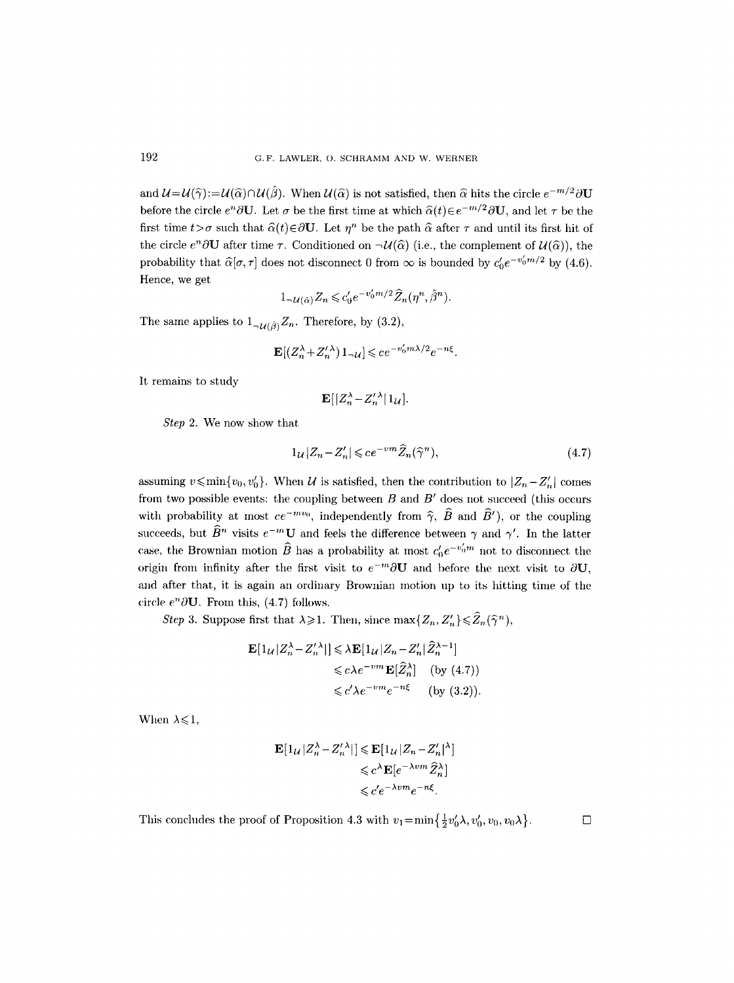and  $\mathcal{U}=\mathcal{U}(\hat{\gamma})\mathcal{U}(\hat{\beta})\cap\mathcal{U}(\hat{\beta})$ . When  $\mathcal{U}(\hat{\alpha})$  is not satisfied, then  $\hat{\alpha}$  hits the circle  $e^{-m/2}\partial\mathbf{U}$ before the circle  $e^n\partial U$ . Let  $\sigma$  be the first time at which  $\hat{\alpha}(t)\in e^{-m/2}\partial U$ , and let  $\tau$  be the first time  $t > \sigma$  such that  $\hat{\alpha}(t) \in \partial \mathbf{U}$ . Let  $\eta^n$  be the path  $\hat{\alpha}$  after  $\tau$  and until its first hit of the circle  $e^n\partial U$  after time  $\tau$ . Conditioned on  $\neg \mathcal{U}(\widehat{\alpha})$  (i.e., the complement of  $\mathcal{U}(\widehat{\alpha})$ ), the probability that  $\hat{\alpha}[\sigma, \tau]$  does not disconnect 0 from  $\infty$  is bounded by  $c'_0e^{-v'_0 m/2}$  by (4.6). Hence, we get

$$
1_{-\mathcal{U}(\hat{\alpha})} Z_n \leqslant c'_0 e^{-v'_0 m/2} \widehat{Z}_n(\eta^n, \hat{\beta}^n).
$$

The same applies to  $1_{\neg \mathcal{U}(\hat{\beta})}Z_n$ . Therefore, by (3.2),

$$
\mathbf{E}[(Z_n^{\lambda} + Z_n^{\prime \lambda}) \, 1_{-\mathcal{U}}] \leqslant c e^{-v_0^{\prime} m \lambda / 2} e^{-n \xi}
$$

It remains to study

$$
\mathbf{E}[|Z_n^{\lambda} - Z_n^{\prime\,\lambda}| \, 1_{\mathcal{U}}].
$$

*Step* 2. We now show that

$$
1_{\mathcal{U}}|Z_n - Z'_n| \leqslant ce^{-vm}\widehat{Z}_n(\widehat{\gamma}^n),\tag{4.7}
$$

assuming  $v \leqslant \min\{v_0, v'_0\}$ . When U is satisfied, then the contribution to  $|Z_n - Z'_n|$  comes from two possible events: the coupling between  $B$  and  $B'$  does not succeed (this occurs with probability at most  $ce^{-mv_0}$ , independently from  $\hat{\gamma}$ ,  $\hat{B}$  and  $\hat{B}'$ ), or the coupling succeeds, but  $\widehat{B}^n$  visits  $e^{-m}U$  and feels the difference between  $\gamma$  and  $\gamma'$ . In the latter case, the Brownian motion  $\widehat{B}$  has a probability at most  $c'_0e^{-v'_0 m}$  not to disconnect the origin from infinity after the first visit to  $e^{-m}\partial \mathbf{U}$  and before the next visit to  $\partial \mathbf{U}$ , and after that, it is again an ordinary Brownian motion up to its hitting time of the circle  $e^n\partial U$ . From this, (4.7) follows.

*Step 3.* Suppose first that  $\lambda \geq 1$ . Then, since  $\max\{Z_n, Z'_n\} \leq \hat{Z}_n(\hat{\gamma}^n)$ ,

$$
\mathbf{E}[1_{\mathcal{U}}|Z_n^{\lambda} - Z_n'^{\lambda}|\] \leq \lambda \mathbf{E}[1_{\mathcal{U}}|Z_n - Z_n'|\widehat{Z}_n^{\lambda - 1}]
$$
  
\n
$$
\leq c\lambda e^{-vm} \mathbf{E}[\widehat{Z}_n^{\lambda}] \quad \text{(by (4.7))}
$$
  
\n
$$
\leq c'\lambda e^{-vm}e^{-n\xi} \quad \text{(by (3.2))}.
$$

When  $\lambda \leq 1$ ,

$$
\mathbf{E}[1_{\mathcal{U}}|Z_n^{\lambda} - Z_n'^{\lambda}]| \leq \mathbf{E}[1_{\mathcal{U}}|Z_n - Z_n'|^{\lambda}]
$$
  

$$
\leq c^{\lambda} \mathbf{E}[e^{-\lambda v m} \widehat{Z}_n^{\lambda}]
$$
  

$$
\leq c' e^{-\lambda v m} e^{-n\xi}.
$$

This concludes the proof of Proposition 4.3 with  $v_1 = \min\left\{\frac{1}{2}v'_0\lambda, v'_0, v_0, v_0\lambda\right\}.$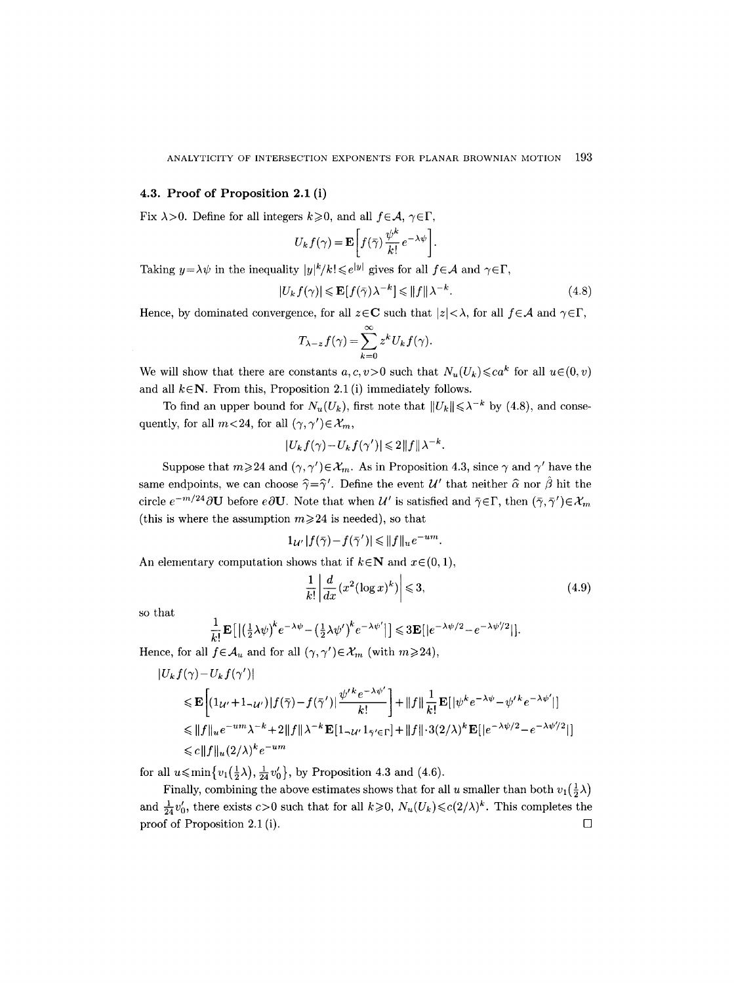#### **4.3. Proof of Proposition 2.1 (i)**

Fix  $\lambda > 0$ . Define for all integers  $k \ge 0$ , and all  $f \in \mathcal{A}, \gamma \in \Gamma$ ,

$$
U_k f(\gamma) = \mathbf{E} \left[ f(\bar{\gamma}) \frac{\psi^k}{k!} e^{-\lambda \psi} \right].
$$

Taking  $y = \lambda \psi$  in the inequality  $|y|^k / k! \leq e^{|y|}$  gives for all  $f \in \mathcal{A}$  and  $\gamma \in \Gamma$ ,

$$
|U_k f(\gamma)| \leqslant \mathbf{E}[f(\bar{\gamma}) \lambda^{-k}] \leqslant ||f|| \lambda^{-k}.
$$
\n(4.8)

Hence, by dominated convergence, for all  $z \in \mathbb{C}$  such that  $|z| < \lambda$ , for all  $f \in \mathcal{A}$  and  $\gamma \in \Gamma$ ,

$$
T_{\lambda-z}f(\gamma)=\sum_{k=0}^{\infty}z^kU_kf(\gamma).
$$

We will show that there are constants  $a, c, v > 0$  such that  $N_u(U_k) \leq c a^k$  for all  $u \in (0, v)$ and all  $k \in \mathbb{N}$ . From this, Proposition 2.1 (i) immediately follows.

To find an upper bound for  $N_u(U_k)$ , first note that  $||U_k|| \leq \lambda^{-k}$  by (4.8), and consequently, for all  $m < 24$ , for all  $(\gamma, \gamma') \in \mathcal{X}_m$ ,

$$
|U_k f(\gamma) - U_k f(\gamma')| \leq 2||f||\lambda^{-k}.
$$

Suppose that  $m \geq 24$  and  $(\gamma, \gamma') \in \mathcal{X}_m$ . As in Proposition 4.3, since  $\gamma$  and  $\gamma'$  have the same endpoints, we can choose  $\hat{\gamma}=\hat{\gamma}'$ . Define the event  $\mathcal{U}'$  that neither  $\hat{\alpha}$  nor  $\hat{\beta}$  hit the circle  $e^{-m/24}\partial\mathbf{U}$  before  $e\partial\mathbf{U}$ . Note that when  $\mathcal{U}'$  is satisfied and  $\bar{\gamma}\in\Gamma$ , then  $(\bar{\gamma},\bar{\gamma}')\in\mathcal{X}_m$ (this is where the assumption  $m\geq 24$  is needed), so that

$$
1_{\mathcal{U}'}|f(\bar{\gamma})-f(\bar{\gamma}')| \leq ||f||_u e^{-um}.
$$

An elementary computation shows that if  $k \in \mathbb{N}$  and  $x \in (0, 1)$ ,

$$
\frac{1}{k!} \left| \frac{d}{dx} (x^2 (\log x)^k) \right| \leqslant 3,\tag{4.9}
$$

so that

$$
\frac{1}{k!} \mathbf{E}\left[ \left| \left( \frac{1}{2} \lambda \psi \right)^k e^{-\lambda \psi} - \left( \frac{1}{2} \lambda \psi' \right)^k e^{-\lambda \psi'} \right| \right] \leqslant 3 \mathbf{E} \left[ \left| e^{-\lambda \psi/2} - e^{-\lambda \psi'/2} \right| \right].
$$

Hence, for all  $f \in \mathcal{A}_u$  and for all  $(\gamma, \gamma') \in \mathcal{X}_m$  (with  $m \geq 24$ ),

$$
\begin{split} |U_{k}f(\gamma)-U_{k}f(\gamma')| \\ & \leqslant \mathbf{E}\bigg[(1_{\mathcal{U}'}+1_{-\mathcal{U}'})|f(\bar{\gamma})-f(\bar{\gamma}')|\frac{\psi'^{\,k}e^{-\lambda\psi'}}{k!}\bigg] + \|f\|\frac{1}{k!}\mathbf{E}[|\psi^k e^{-\lambda\psi}-\psi'^{\,k}e^{-\lambda\psi'}|] \\ & \leqslant \|f\|_{u}e^{-um}\lambda^{-k}+2\|f\|\lambda^{-k}\mathbf{E}[1_{-\mathcal{U}'}1_{\bar{\gamma}'\in\Gamma}]+\|f\|\cdot3(2/\lambda)^{k}\mathbf{E}[|e^{-\lambda\psi/2}-e^{-\lambda\psi'/2}|] \\ & \leqslant c\|f\|_{u}(2/\lambda)^{k}e^{-um} \end{split}
$$

for all  $u \leqslant \min\{v_1(\frac{1}{2}\lambda), \frac{1}{24}v_0'\}$ , by Proposition 4.3 and (4.6).

Finally, combining the above estimates shows that for all u smaller than both  $v_1(\frac{1}{2}\lambda)$ and  $\frac{1}{24}v'_0$ , there exists  $c>0$  such that for all  $k\geqslant 0$ ,  $N_u(U_k)\leqslant c(2/\lambda)^k$ . This completes the proof of Proposition 2.1 (i).  $\Box$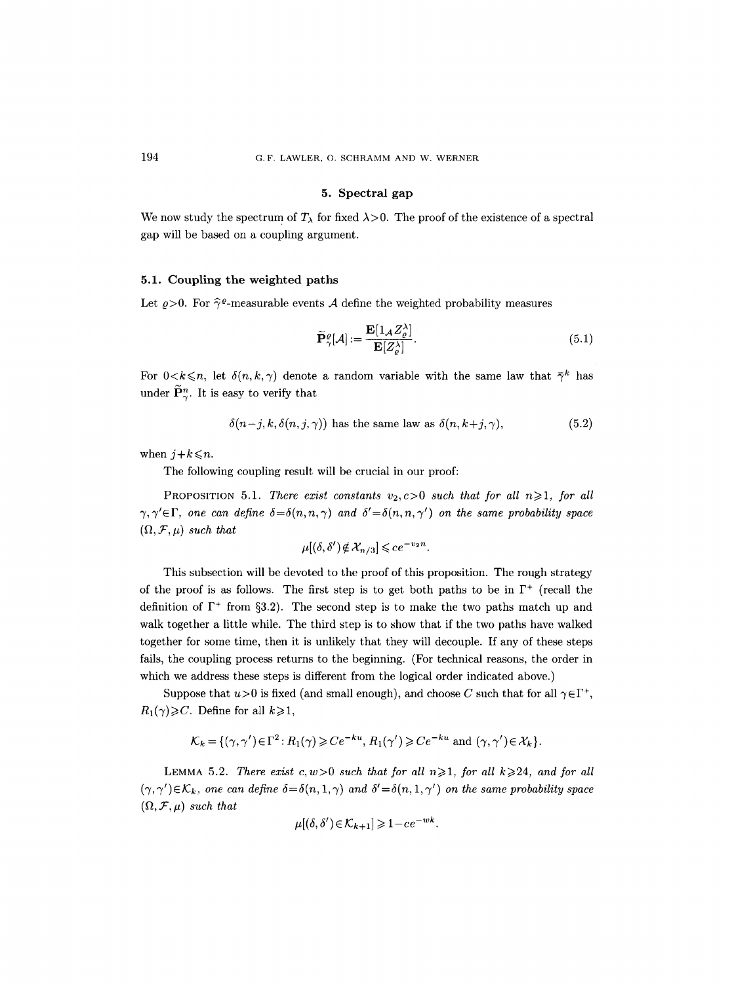## **5. Spectral gap**

We now study the spectrum of  $T_{\lambda}$  for fixed  $\lambda > 0$ . The proof of the existence of a spectral gap will be based on a coupling argument.

## **5.1. Coupling the weighted paths**

Let  $\rho > 0$ . For  $\hat{\gamma}^{\varrho}$ -measurable events A define the weighted probability measures

$$
\widetilde{\mathbf{P}}_{\gamma}^{\varrho}[\mathcal{A}] := \frac{\mathbf{E}[1_{\mathcal{A}} Z_{\varrho}^{\lambda}]}{\mathbf{E}[Z_{\varrho}^{\lambda}]}.
$$
\n(5.1)

For  $0 < k \le n$ , let  $\delta(n, k, \gamma)$  denote a random variable with the same law that  $\overline{\gamma}^k$  has under  $\widetilde{\mathbf{P}}_{\gamma}^{n}$ . It is easy to verify that

$$
\delta(n-j,k,\delta(n,j,\gamma)) \text{ has the same law as } \delta(n,k+j,\gamma), \tag{5.2}
$$

when  $j+k \leq n$ .

The following coupling result will be crucial in our proof:

PROPOSITION 5.1. *There exist constants*  $v_2$ ,  $c>0$  *such that for all n* $\geq 1$ , *for all*  $\gamma, \gamma' \in \Gamma$ , one can define  $\delta = \delta(n,n,\gamma)$  and  $\delta' = \delta(n,n,\gamma')$  on the same probability space  $(\Omega, \mathcal{F}, \mu)$  *such that* 

$$
\mu[(\delta,\delta') \notin \mathcal{X}_{n/3}] \leqslant ce^{-\nu_2 n}.
$$

This subsection will be devoted to the proof of this proposition. The rough strategy of the proof is as follows. The first step is to get both paths to be in  $\Gamma^+$  (recall the definition of  $\Gamma^+$  from §3.2). The second step is to make the two paths match up and walk together a little while. The third step is to show that if the two paths have walked together for some time, then it is unlikely that they will decouple. If any of these steps fails, the coupling process returns to the beginning. (For technical reasons, the order in which we address these steps is different from the logical order indicated above.)

Suppose that  $u>0$  is fixed (and small enough), and choose C such that for all  $\gamma \in \Gamma^+$ ,  $R_1(\gamma) \geqslant C$ . Define for all  $k \geqslant 1$ ,

$$
\mathcal{K}_k = \{ (\gamma, \gamma') \in \Gamma^2 : R_1(\gamma) \geq C e^{-ku}, R_1(\gamma') \geq C e^{-ku} \text{ and } (\gamma, \gamma') \in \mathcal{X}_k \}.
$$

LEMMA 5.2. *There exist c, w*>0 *such that for all n* $\geq$ 1*, for all k* $\geq$ 24*, and for all*  $(\gamma, \gamma') \in \mathcal{K}_k$ , one can define  $\delta = \delta(n, 1, \gamma)$  and  $\delta' = \delta(n, 1, \gamma')$  on the same probability space  $(\Omega, \mathcal{F}, \mu)$  such that

$$
\mu[(\delta, \delta') \in \mathcal{K}_{k+1}] \geq 1 - ce^{-wk}.
$$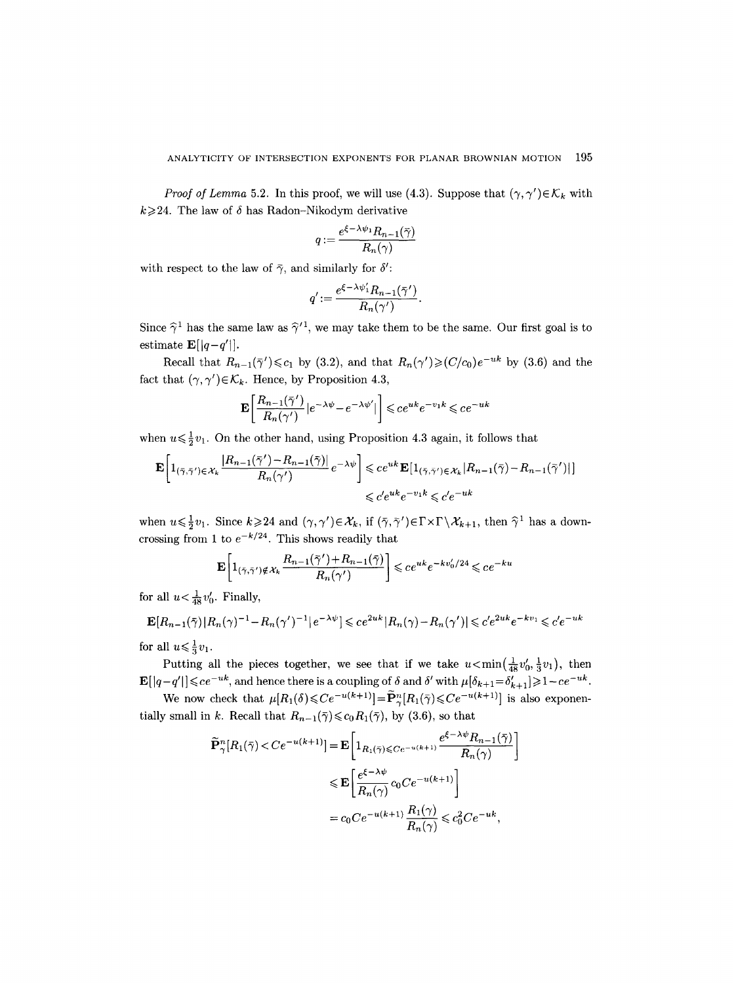*Proof of Lemma* 5.2. In this proof, we will use (4.3). Suppose that  $(\gamma, \gamma') \in \mathcal{K}_k$  with  $k \geq 24$ . The law of  $\delta$  has Radon-Nikodym derivative

$$
q := \frac{e^{\xi - \lambda \psi_1} R_{n-1}(\bar{\gamma})}{R_n(\gamma)}
$$

with respect to the law of  $\bar{\gamma}$ , and similarly for  $\delta'$ :

$$
q':=\frac{e^{\xi-\lambda\psi_1'}R_{n-1}(\bar\gamma')}{R_n(\gamma')}
$$

Since  $\hat{\gamma}^1$  has the same law as  $\hat{\gamma}'^1$ , we may take them to be the same. Our first goal is to estimate  $\mathbf{E}[|q-q'|]$ .

Recall that  $R_{n-1}(\bar{\gamma}') \leq c_1$  by (3.2), and that  $R_n(\gamma') \geqslant (C/c_0)e^{-uk}$  by (3.6) and the fact that  $(\gamma, \gamma') \in \mathcal{K}_k$ . Hence, by Proposition 4.3,

$$
\mathbf{E}\bigg[\frac{R_{n-1}(\bar \gamma')}{R_n(\gamma')}\big|e^{-\lambda\psi}-e^{-\lambda\psi'}\big|\bigg]\leqslant ce^{uk}e^{-v_1k}\leqslant ce^{-uk}
$$

when  $u \le \frac{1}{2}v_1$ . On the other hand, using Proposition 4.3 again, it follows that

$$
\mathbf{E}\left[\mathbf{1}_{(\bar{\gamma},\bar{\gamma}')\in\mathcal{X}_k}\frac{|R_{n-1}(\bar{\gamma}')-R_{n-1}(\bar{\gamma})|}{R_n(\gamma')}e^{-\lambda\psi}\right] \leqslant ce^{uk}\mathbf{E}\left[\mathbf{1}_{(\bar{\gamma},\bar{\gamma}')\in\mathcal{X}_k}|R_{n-1}(\bar{\gamma})-R_{n-1}(\bar{\gamma}')|\right]
$$
  

$$
\leqslant c'e^{uk}e^{-v_1k} \leqslant c'e^{-uk}
$$

when  $u \le \frac{1}{2}v_1$ . Since  $k \ge 24$  and  $(\gamma, \gamma') \in \mathcal{X}_k$ , if  $(\overline{\gamma}, \overline{\gamma}') \in \Gamma \times \Gamma \setminus \mathcal{X}_{k+1}$ , then  $\widehat{\gamma}^1$  has a downcrossing from 1 to  $e^{-k/24}$ . This shows readily that

$$
\mathbf{E}\left[\mathbf{1}_{(\bar{\gamma},\bar{\gamma}')\notin\mathcal{X}_k}\frac{R_{n-1}(\bar{\gamma}')+R_{n-1}(\bar{\gamma})}{R_n(\gamma')}\right] \leqslant ce^{uk}e^{-kv_0'/24} \leqslant ce^{-ku}
$$

for all  $u < \frac{1}{48}v'_0$ . Finally,

$$
\mathbf{E}[R_{n-1}(\bar{\gamma})|R_n(\gamma)^{-1} - R_n(\gamma')^{-1}|e^{-\lambda\psi}] \leqslant ce^{2uk}|R_n(\gamma) - R_n(\gamma')| \leqslant c'e^{2uk}e^{-kv_1} \leqslant c'e^{-uk}
$$

for all  $u \leq \frac{1}{3}v_1$ .

Putting all the pieces together, we see that if we take  $u < \min(\frac{1}{48}v'_0, \frac{1}{3}v_1)$ , then  $\mathbf{E}[\vert q-q'\vert] \leqslant ce^{-uk}$ , and hence there is a coupling of  $\delta$  and  $\delta'$  with  $\mu[\delta_{k+1} = \delta'_{k+1}] \geqslant 1 - ce^{-uk}$ .

We now check that  $\mu[R_1(\delta) \leq Ce^{-u(k+1)}] = \widetilde{\mathbf{P}}_{\gamma}^n[R_1(\overline{\gamma}) \leq Ce^{-u(k+1)}]$  is also exponentially small in k. Recall that  $R_{n-1}(\bar{\gamma}) \leq c_0 R_1(\bar{\gamma})$ , by (3.6), so that

$$
\widetilde{\mathbf{P}}_{\gamma}^{n}[R_{1}(\bar{\gamma}) < Ce^{-u(k+1)}] = \mathbf{E} \left[ 1_{R_{1}(\bar{\gamma}) \le C e^{-u(k+1)}} \frac{e^{\xi - \lambda \psi} R_{n-1}(\bar{\gamma})}{R_{n}(\gamma)} \right]
$$
\n
$$
\le \mathbf{E} \left[ \frac{e^{\xi - \lambda \psi}}{R_{n}(\gamma)} c_{0} Ce^{-u(k+1)} \right]
$$
\n
$$
= c_{0} Ce^{-u(k+1)} \frac{R_{1}(\gamma)}{R_{n}(\gamma)} \le c_{0}^{2} Ce^{-uk},
$$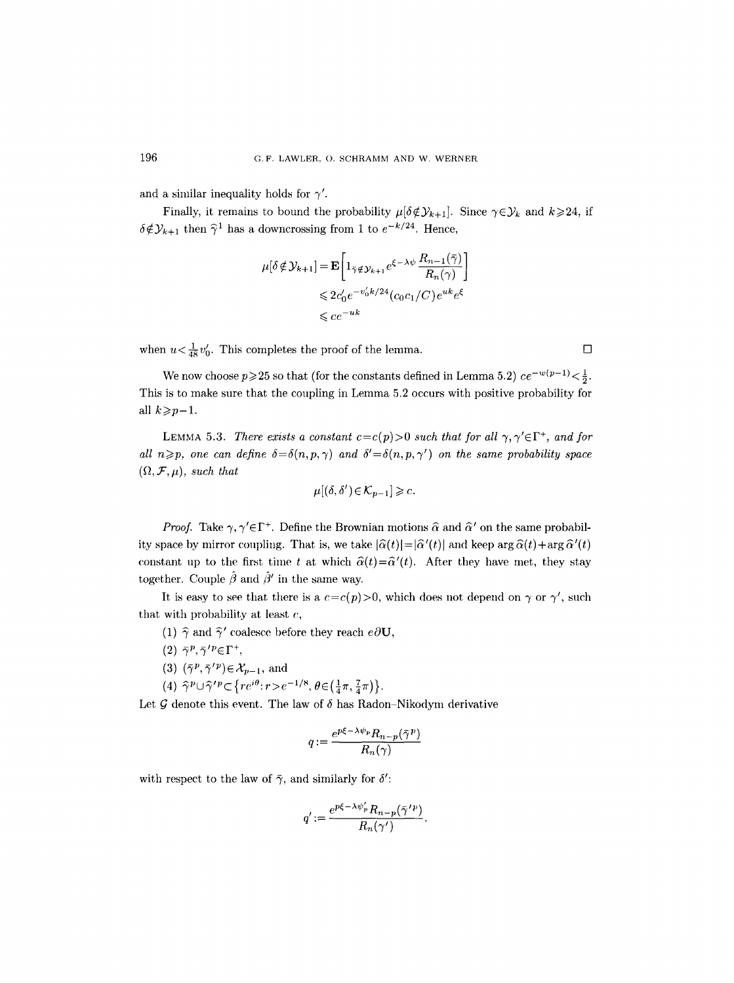and a similar inequality holds for  $\gamma'$ .

Finally, it remains to bound the probability  $\mu[\delta \notin \mathcal{Y}_{k+1}]$ . Since  $\gamma \in \mathcal{Y}_k$  and  $k \geq 24$ , if  $\delta \notin \mathcal{Y}_{k+1}$  then  $\hat{\gamma}^1$  has a downcrossing from 1 to  $e^{-k/24}$ . Hence,

$$
\mu[\delta \notin \mathcal{Y}_{k+1}] = \mathbf{E} \left[ 1_{\bar{\gamma} \notin \mathcal{Y}_{k+1}} e^{\xi - \lambda \psi} \frac{R_{n-1}(\bar{\gamma})}{R_n(\gamma)} \right]
$$
  

$$
\leq 2c'_0 e^{-v'_0 k/24} (c_0 c_1/C) e^{uk} e^{\xi}
$$
  

$$
\leq c e^{-uk}
$$

when  $u < \frac{1}{48}v_0'$ . This completes the proof of the lemma.

We now choose  $p\geqslant 25$  so that (for the constants defined in Lemma 5.2)  $ce^{-w(p-1)} < \frac{1}{2}$ . This is to make sure that the coupling in Lemma 5.2 occurs with positive probability for all  $k \geqslant p-1$ .

LEMMA 5.3. *There exists a constant*  $c = c(p) > 0$  *such that for all*  $\gamma, \gamma' \in \Gamma^+$ , *and for all*  $n \geq p$ , one can define  $\delta = \delta(n, p, \gamma)$  and  $\delta' = \delta(n, p, \gamma')$  on the same probability space  $(\Omega, \mathcal{F}, \mu)$ *, such that* 

$$
\mu[(\delta, \delta') \in \mathcal{K}_{p-1}] \geqslant c.
$$

*Proof.* Take  $\gamma$ ,  $\gamma' \in \Gamma^+$ . Define the Brownian motions  $\hat{\alpha}$  and  $\hat{\alpha}'$  on the same probability space by mirror coupling. That is, we take  $|\hat{\alpha}(t)|= |\hat{\alpha}'(t)|$  and keep arg  $\hat{\alpha}(t) + \arg \hat{\alpha}'(t)$ constant up to the first time t at which  $\hat{\alpha}(t)=\hat{\alpha}'(t)$ . After they have met, they stay together. Couple  $\hat{\beta}$  and  $\hat{\beta}'$  in the same way.

It is easy to see that there is a  $c=c(p)>0$ , which does not depend on  $\gamma$  or  $\gamma'$ , such that with probability at least  $c$ ,

- (1)  $\hat{\gamma}$  and  $\hat{\gamma}'$  coalesce before they reach  $e\partial\mathbf{U}$ ,
- (2)  $\bar{\gamma}^p, \bar{\gamma}'^p \in \Gamma^+,$
- (3)  $(\bar{\gamma}^p, \bar{\gamma}'^p) \in \mathcal{X}_{p-1}$ , and
- (4)  $\hat{\gamma}^p \cup \hat{\gamma}'^p \subset \{re^{i\theta}: r > e^{-1/8}, \theta \in (\frac{1}{4}\pi, \frac{7}{4}\pi)\}.$

Let  $\mathcal G$  denote this event. The law of  $\delta$  has Radon-Nikodym derivative

$$
q:=\frac{e^{p\xi-\lambda\psi_p}R_{n-p}(\bar\gamma^p)}{R_n(\gamma)}
$$

with respect to the law of  $\bar{\gamma}$ , and similarly for  $\delta'$ :

$$
q':=\frac{e^{p\xi-\lambda\psi_p'}R_{n-p}(\bar\gamma'^{\,p})}{R_n(\gamma')}
$$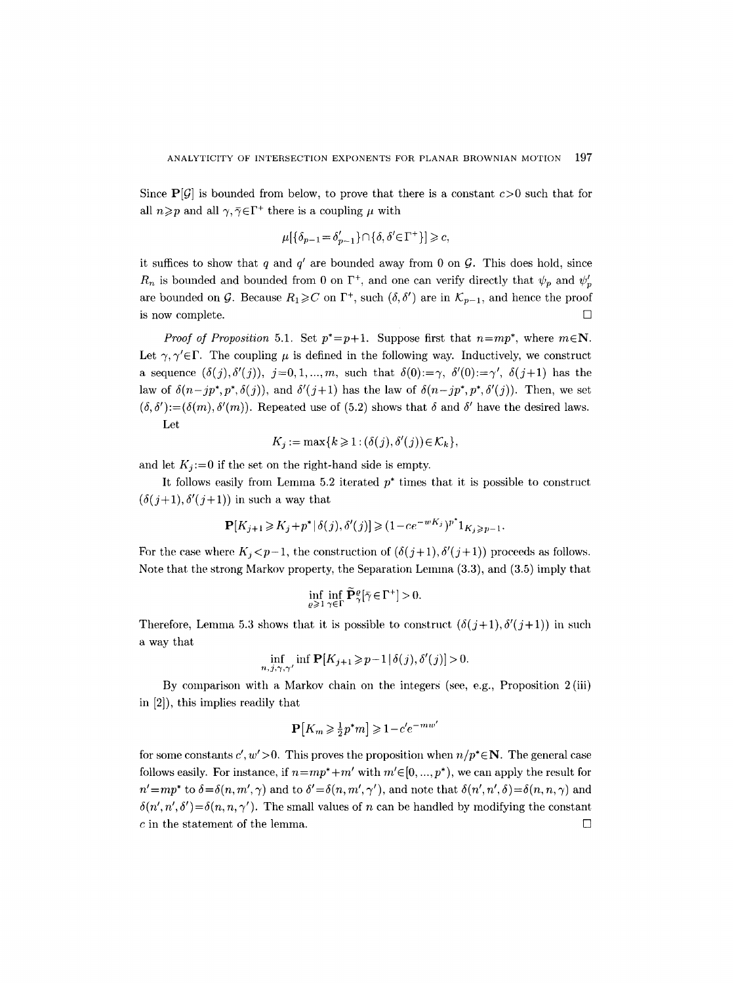Since  $P[G]$  is bounded from below, to prove that there is a constant  $c > 0$  such that for all  $n \geq p$  and all  $\gamma, \overline{\gamma} \in \Gamma^+$  there is a coupling  $\mu$  with

$$
\mu[\{\delta_{p-1} = \delta'_{p-1}\} \cap \{\delta, \delta' \in \Gamma^+\}] \geq c,
$$

it suffices to show that q and  $q'$  are bounded away from 0 on  $\mathcal G$ . This does hold, since  $R_n$  is bounded and bounded from 0 on  $\Gamma^+$ , and one can verify directly that  $\psi_p$  and  $\psi'_p$ are bounded on G. Because  $R_1 \geqslant C$  on  $\Gamma^+$ , such  $(\delta, \delta')$  are in  $\mathcal{K}_{p-1}$ , and hence the proof is now complete.  $\Box$ 

*Proof of Proposition* 5.1. Set  $p^* = p+1$ . Suppose first that  $n=mp^*$ , where  $m \in \mathbb{N}$ . Let  $\gamma, \gamma' \in \Gamma$ . The coupling  $\mu$  is defined in the following way. Inductively, we construct a sequence  $(\delta(j), \delta'(j)), j=0,1, \ldots, m$ , such that  $\delta(0) := \gamma$ ,  $\delta'(0) := \gamma'$ ,  $\delta(j+1)$  has the law of  $\delta(n-jp^*,p^*,\delta(j))$ , and  $\delta'(j+1)$  has the law of  $\delta(n-jp^*,p^*,\delta'(j))$ . Then, we set  $(\delta, \delta') := (\delta(m), \delta'(m))$ . Repeated use of (5.2) shows that  $\delta$  and  $\delta'$  have the desired laws. Let

$$
K_j := \max\{k \geq 1 : (\delta(j), \delta'(j)) \in \mathcal{K}_k\},\
$$

and let  $K_i:=0$  if the set on the right-hand side is empty.

It follows easily from Lemma 5.2 iterated  $p^*$  times that it is possible to construct  $(\delta(j+1), \delta'(j+1))$  in such a way that

$$
\mathbf{P}[K_{j+1} \geq K_j + p^* | \delta(j), \delta'(j)] \geq (1 - c e^{-wK_j})^{p^*} 1_{K_j \geq p-1}.
$$

For the case where  $K_i < p-1$ , the construction of  $(\delta(j+1), \delta'(j+1))$  proceeds as follows. Note that the strong Markov property, the Separation Lemma  $(3.3)$ , and  $(3.5)$  imply that

$$
\inf_{\varrho\geqslant 1}\inf_{\gamma\in\Gamma}\widetilde{\mathbf{P}}_{\gamma}^{\varrho}[\bar{\gamma}\!\in\!\Gamma^+]>0.
$$

Therefore, Lemma 5.3 shows that it is possible to construct  $(\delta(j+1), \delta'(j+1))$  in such a way that

$$
\inf_{n,j,\gamma,\gamma'} \inf \mathbf{P}[K_{j+1} \ge p-1 \,|\, \delta(j),\delta'(j)] > 0.
$$

By comparison with a Markov chain on the integers (see, e.g., Proposition 2 (iii) in [2]), this implies readily that

$$
\mathbf{P}[K_m \ge \frac{1}{2}p^*m] \ge 1 - c'e^{-mw'}
$$

for some constants  $c', w' > 0$ . This proves the proposition when  $n/p^* \in \mathbb{N}$ . The general case follows easily. For instance, if  $n = mp^* + m'$  with  $m' \in [0, ..., p^*)$ , we can apply the result for  $n'=mp^*$  to  $\delta = \delta(n, m', \gamma)$  and to  $\delta' = \delta(n, m', \gamma')$ , and note that  $\delta(n', n', \delta) = \delta(n, n, \gamma)$  and  $\delta(n', n', \delta') = \delta(n, n, \gamma')$ . The small values of n can be handled by modifying the constant c in the statement of the lemma.  $\square$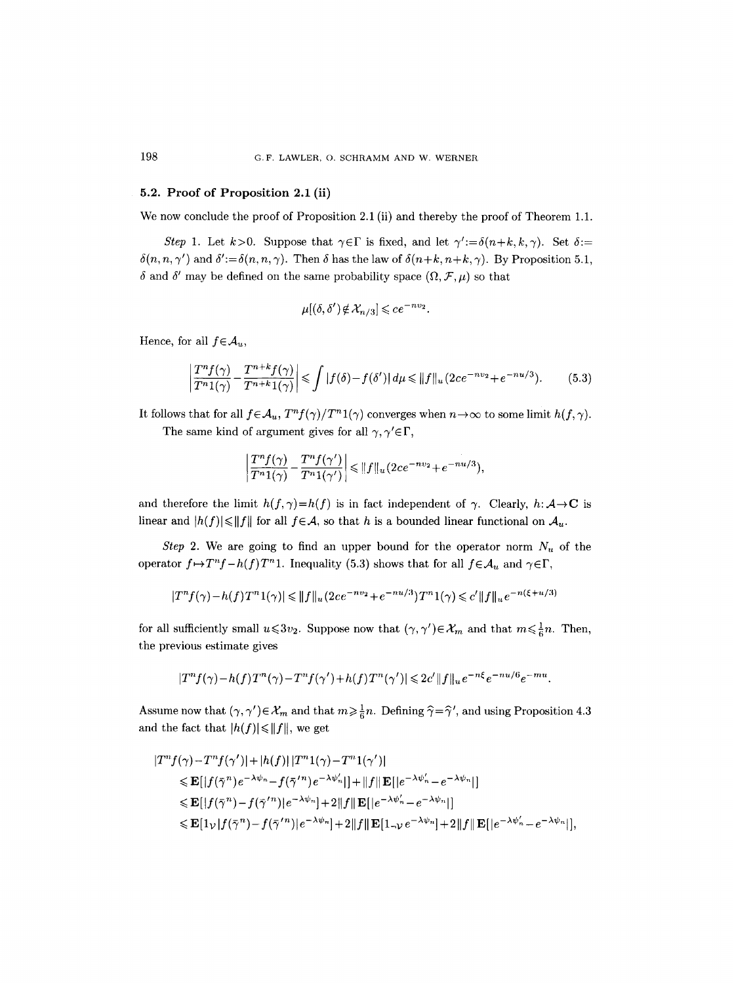## **5.2. Proof of Proposition 2.1 (ii)**

We now conclude the proof of Proposition 2.1 (ii) and thereby the proof of Theorem 1.1.

*Step 1.* Let  $k>0$ . Suppose that  $\gamma \in \Gamma$  is fixed, and let  $\gamma' := \delta(n+k,k,\gamma)$ . Set  $\delta :=$  $\delta(n, n, \gamma')$  and  $\delta' := \delta(n, n, \gamma)$ . Then  $\delta$  has the law of  $\delta(n+k, n+k, \gamma)$ . By Proposition 5.1,  $\delta$  and  $\delta'$  may be defined on the same probability space  $(\Omega, \mathcal{F}, \mu)$  so that

$$
\mu[(\delta, \delta') \notin \mathcal{X}_{n/3}] \leqslant ce^{-nv_2}.
$$

Hence, for all  $f \in \mathcal{A}_u$ ,

$$
\left|\frac{T^{n}f(\gamma)}{T^{n}1(\gamma)}-\frac{T^{n+k}f(\gamma)}{T^{n+k}1(\gamma)}\right|\leqslant\int\left|f(\delta)-f(\delta')\right|d\mu\leqslant\|f\|_{u}(2ce^{-nv_{2}}+e^{-nu/3}).\tag{5.3}
$$

It follows that for all  $f \in \mathcal{A}_u$ ,  $T^n f(\gamma)/T^n 1(\gamma)$  converges when  $n \to \infty$  to some limit  $h(f, \gamma)$ . The same kind of argument gives for all  $\gamma, \gamma' \in \Gamma$ ,

$$
\left|\frac{T^n f(\gamma)}{T^n 1(\gamma)} - \frac{T^n f(\gamma')}{T^n 1(\gamma')}\right| \leq ||f||_u (2ce^{-nv_2} + e^{-nu/3}),
$$

and therefore the limit  $h(f, \gamma) = h(f)$  is in fact independent of  $\gamma$ . Clearly,  $h: \mathcal{A} \to \mathbf{C}$  is linear and  $|h(f)| \le ||f||$  for all  $f \in A$ , so that h is a bounded linear functional on  $A_u$ .

*Step 2.* We are going to find an upper bound for the operator norm  $N_u$  of the operator  $f \mapsto T^n f - h(f)T^n$ 1. Inequality (5.3) shows that for all  $f \in \mathcal{A}_u$  and  $\gamma \in \Gamma$ ,

$$
|T^n f(\gamma) - h(f) T^n 1(\gamma)| \leq ||f||_u (2ce^{-nv_2} + e^{-nu/3}) T^n 1(\gamma) \leq c' ||f||_u e^{-n(\xi + u/3)}
$$

for all sufficiently small  $u \leq 3v_2$ . Suppose now that  $(\gamma, \gamma') \in \mathcal{X}_m$  and that  $m \leq \frac{1}{6}n$ . Then, the previous estimate gives

$$
|T^nf(\gamma)-h(f)T^n(\gamma)-T^nf(\gamma')+h(f)T^n(\gamma')|\leqslant 2c'\|f\|_u e^{-n\xi}e^{-nu/6}e^{-mu}.
$$

Assume now that  $(\gamma, \gamma') \in \mathcal{X}_m$  and that  $m \geq \frac{1}{6}n$ . Defining  $\hat{\gamma} = \hat{\gamma}'$ , and using Proposition 4.3 and the fact that  $|h(f)| \leq ||f||$ , we get

$$
|T^{n} f(\gamma) - T^{n} f(\gamma')| + |h(f)| |T^{n} 1(\gamma) - T^{n} 1(\gamma')|
$$
  
\n
$$
\leq \mathbf{E}[|f(\bar{\gamma}^{n}) e^{-\lambda \psi_{n}} - f(\bar{\gamma}'^{n}) e^{-\lambda \psi'_{n}}|] + ||f|| \mathbf{E}[|e^{-\lambda \psi'_{n}} - e^{-\lambda \psi_{n}}|]
$$
  
\n
$$
\leq \mathbf{E}[|f(\bar{\gamma}^{n}) - f(\bar{\gamma}'^{n})|e^{-\lambda \psi_{n}}| + 2||f||\mathbf{E}[|e^{-\lambda \psi'_{n}} - e^{-\lambda \psi_{n}}|]
$$
  
\n
$$
\leq \mathbf{E}[1_{\mathcal{V}}|f(\bar{\gamma}^{n}) - f(\bar{\gamma}'^{n})|e^{-\lambda \psi_{n}}| + 2||f||\mathbf{E}[1_{-\mathcal{V}}e^{-\lambda \psi_{n}}| + 2||f||\mathbf{E}[|e^{-\lambda \psi'_{n}} - e^{-\lambda \psi_{n}}|],
$$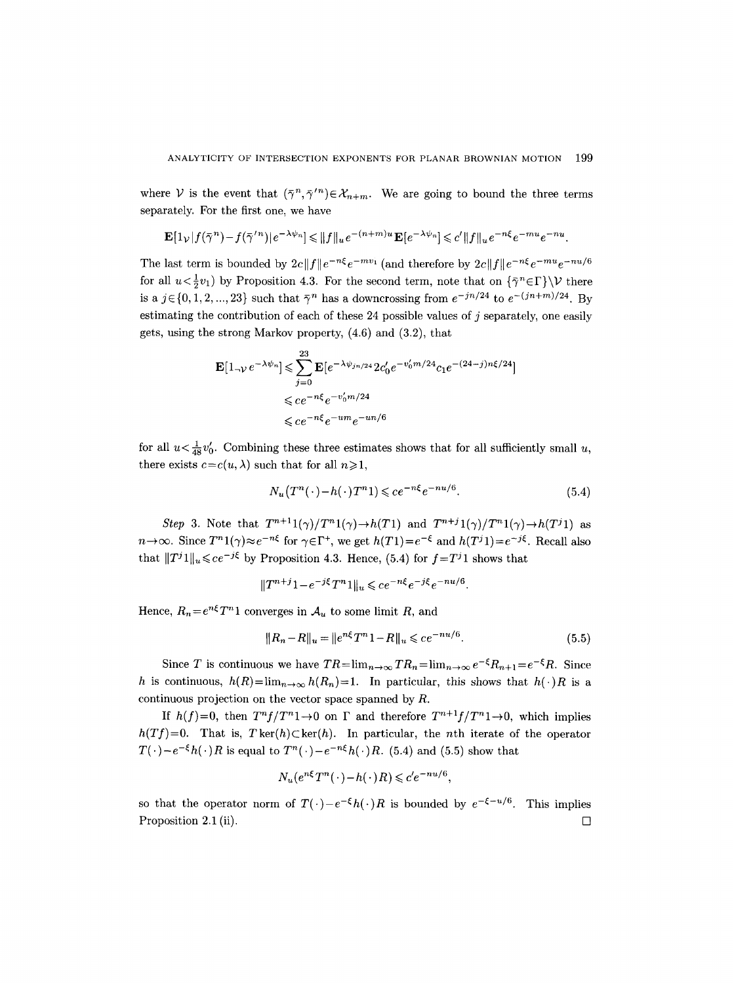where V is the event that  $(\bar{\gamma}^n, \bar{\gamma}'^n) \in \mathcal{X}_{n+m}$ . We are going to bound the three terms separately. For the first one, we have

$$
\mathbf{E}\big[\mathbf{1}_{\mathcal{V}}\,|\,f\big(\bar\gamma^{\,n}\big)-f\big(\bar\gamma^{\,\prime\,n}\big)|\,e^{\,-\,\lambda\psi_n} \big] \leqslant \|f\|_u\,e^{\,-\,(n+m)\,u}\,\mathbf{E}\big[e^{\,-\,\lambda\psi_n}\big] \leqslant c'\,\|f\|_u\,e^{\,-\,n\xi}\,e^{\,-\,mu}\,e^{\,-\,n\,u}\,.
$$

The last term is bounded by  $2c||f||e^{-n\xi}e^{-mv_1}$  (and therefore by  $2c||f||e^{-n\xi}e^{-mu}e^{-nu/6}$ for all  $u < \frac{1}{2}v_1$ ) by Proposition 4.3. For the second term, note that on  $\{\bar{\gamma}^n \in \Gamma\} \setminus \mathcal{V}$  there is a  $j \in \{0, 1, 2, ..., 23\}$  such that  $\overline{\gamma}^n$  has a downcrossing from  $e^{-jn/24}$  to  $e^{-(jn+m)/24}$ . By estimating the contribution of each of these 24 possible values of  $j$  separately, one easily gets, using the strong Markov property, (4.6) and (3.2), that

$$
\begin{aligned} \mathbf{E}[1_{\neg \mathcal{V}} e^{-\lambda \psi_n}] &\leqslant \sum_{j=0}^{23} \mathbf{E}[e^{-\lambda \psi_{jn/24}} 2c_0' e^{-v_0' m/24} c_1 e^{-(24-j)n\xi/24}] \\ &\leqslant c e^{-n\xi} e^{-v_0' m/24} \\ &\leqslant c e^{-n\xi} e^{-um} e^{-un/6} \end{aligned}
$$

for all  $u < \frac{1}{48}v_0'$ . Combining these three estimates shows that for all sufficiently small u, there exists  $c=c(u, \lambda)$  such that for all  $n\geq 1$ ,

$$
N_u(T^n(\cdot) - h(\cdot)T^n)\leqslant ce^{-n\xi}e^{-nu/6}.\tag{5.4}
$$

*Step 3.* Note that  $T^{n+1}1(\gamma)/T^n1(\gamma) \rightarrow h(T1)$  and  $T^{n+j}1(\gamma)/T^n1(\gamma) \rightarrow h(T^j1)$  as  $n \to \infty$ . Since  $T^n 1(\gamma) \approx e^{-n\xi}$  for  $\gamma \in \Gamma^+$ , we get  $h(T1)=e^{-\xi}$  and  $h(T^{j_1})=e^{-j\xi}$ . Recall also that  $||T^j1||_u \leqslant ce^{-j\xi}$  by Proposition 4.3. Hence, (5.4) for  $f=T^j1$  shows that

$$
||T^{n+j}1 - e^{-j\xi}T^n1||_u \leqslant ce^{-n\xi}e^{-j\xi}e^{-nu/6}.
$$

Hence,  $R_n = e^{n\xi} T^n 1$  converges in  $\mathcal{A}_u$  to some limit R, and

$$
||R_n - R||_u = ||e^{n\xi}T^n 1 - R||_u \leqslant ce^{-nu/6}.
$$
\n(5.5)

Since T is continuous we have  $TR=\lim_{n\to\infty} TR_n=\lim_{n\to\infty}e^{-\xi}R_{n+1}=e^{-\xi}R$ . Since h is continuous,  $h(R) = \lim_{n \to \infty} h(R_n) = 1$ . In particular, this shows that  $h(\cdot)R$  is a continuous projection on the vector space spanned by R.

If  $h(f)=0$ , then  $T^{n}f/T^{n}1\rightarrow 0$  on  $\Gamma$  and therefore  $T^{n+1}f/T^{n}1\rightarrow 0$ , which implies  $h(Tf)=0$ . That is,  $T\ker(h)\subset \ker(h)$ . In particular, the *n*th iterate of the operator  $T(\cdot)-e^{-\xi}h(\cdot)R$  is equal to  $T^n(\cdot)-e^{-n\xi}h(\cdot)R$ . (5.4) and (5.5) show that

$$
N_u(e^{n\xi}T^n(\cdot) - h(\cdot)R) \leqslant c'e^{-nu/6},
$$

so that the operator norm of  $T(\cdot)-e^{-\xi}h(\cdot)R$  is bounded by  $e^{-\xi-u/6}$ . This implies Proposition 2.1 (ii).  $\Box$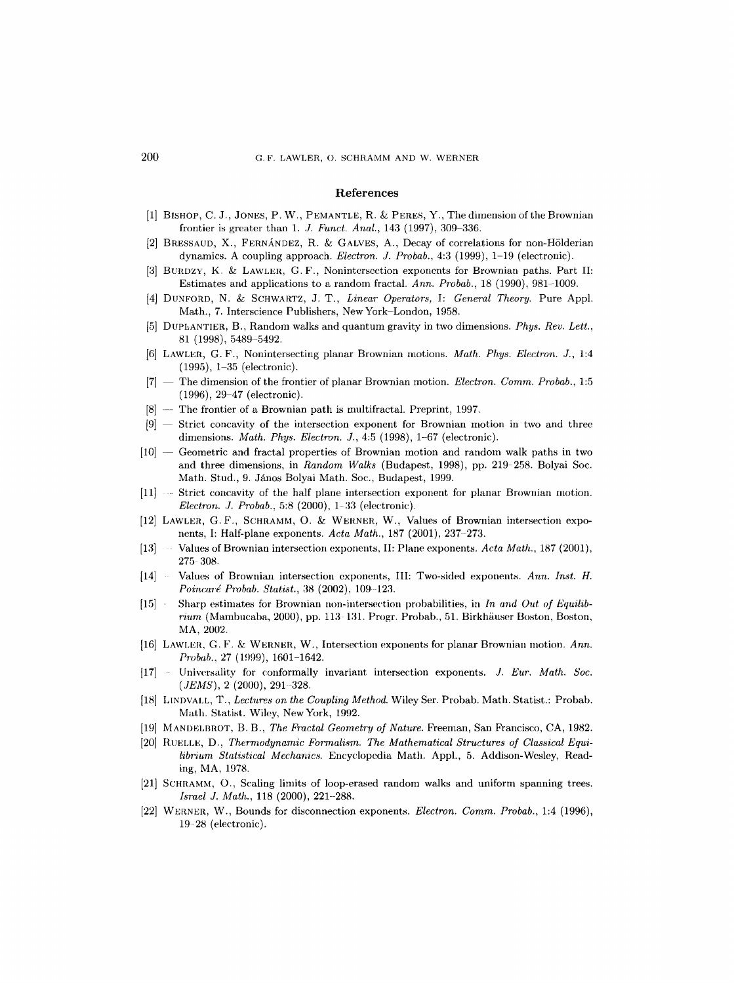#### **References**

- [1] BISHOP, C. J., JONES, P. W., PEMANTLE, R. & PERES, Y., The dimension of the Brownian frontier is greater than 1. J. Funct. Anal., 143 (1997), 309-336.
- $[2]$  BRESSAUD, X., FERNÁNDEZ, R. & GALVES, A., Decay of correlations for non-Hölderian dynamics. A coupling approach. *Electron. J. Probab.,* 4:3 (1999), 1-19 (electronic).
- [3] BURDZY, K. & LAWLER, G.F., Nonintersection exponents for Brownian paths. Part II: Estimates and applications to a random fractal. *Ann. Probab.,* 18 (1990), 981-1009.
- [4] DUNFORD, N. & SCHWARTZ, J. T., *Linear Operators,* I: *General Theory.* Pure Appl. Math., 7. Interscience Publishers, New York-London, 1958.
- [5] DUPLANTIER, B., Random walks and quantum gravity in two dimensions. *Phys. Rev. Lett.,*  81 (1998), 5489-5492.
- [6] LAWLER, G.F., Nonintersecting planar Brownian motions. *Math. Phys. Electron. J.,* 1:4 (1995), 1-35 (electronic).
- [7] The dimension of the frontier of planar Brownian motion. *Electron. Comm. Probab.,* 1:5 (1996), 29-47 (electronic).
- [8] --- The frontier of a Brownian path is multifractal. Preprint, 1997.
- $[9]$   $-$  Strict concavity of the intersection exponent for Brownian motion in two and three dimensions. *Math. Phys. Electron.* J., 4:5 (1998), 1-67 (electronic).
- $[10]$   $\sim$  Geometric and fractal properties of Brownian motion and random walk paths in two and three dimensions, in *Random Walks* (Budapest, 1998), pp. 219 258. Bolyai Soc. Math. Stud., 9. János Bolyai Math. Soc., Budapest, 1999.
- [11] -- Strict concavity of the half plane intersection exponent for planar Brownian motion. *Electron. J. Probab.,* 5:8 (2000), 1-33 (electronic).
- $[12]$  LAWLER, G.F., SCHRAMM, O. & WERNER, W., Values of Brownian intersection exponents, I: Half-plane exponents. *Acta Math.,* 187 (2001), 237-273.
- [13] Values of Brownian intersection exponents, II: Plane exponents. *Acta Math.,* 187 (2001), 275 308.
- [14] Values of Brownian intersection exponents, III: Two-sided exponents. *Ann. Inst. H. Poincaré Probab. Statist., 38 (2002), 109-123.*
- [15] Sharp estimates for Brownian non-intersection probabilities, in *In and Out of Equilibrium* (Mambucaba, 2000), pp. 113-131. Progr. Probab., 51. Birkhäuser Boston, Boston, MA, 2002.
- [16] LAWLER, G. F. & WERNER, W., Intersection exponents for planar Brownian motion. *Ann. Probab.,* 27 (1999), 1601-1642.
- [17] Uniw~rsality for conformally invariant intersection exponents. *J. Eur. Math. Soc.*   $(JEMS)$ , 2 (2000), 291-328.
- [18] LINDVALL, T., *Lectures on the Coupling Method.* Wiley Ser. Probab. Math. Statist.: Probab. Math. Statist. Wiley, New York, 1992.
- [19] MANDELBROT, B. B., *The Fractal Geometry of Nature.* Freeman, San Francisco, CA, 1982.
- [20] RUELLE, D., *Thermodynamic Formalism. The Mathematical Structures of Classical Equilibrium Statistical Mechanics.* Encyclopedia Math. Appl., 5. Addison-Wesley, Reading, MA, 1978.
- [21] SCHRAMM, O., Scaling limits of loop-erased random walks and uniform spanning trees. *Israel J. Math.,* 118 (2000), 221-288.
- [22] WEANER, W., Bounds for disconnection exponents. *Electron. Comm. Probab.,* 1:4 (1996), 19-28 (electronic).